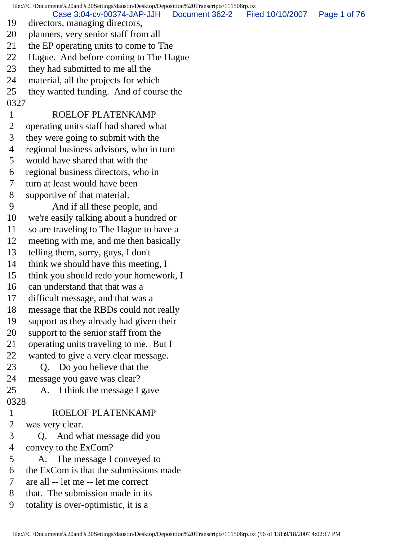file:///C|/Documents%20and%20Settings/daustin/Desktop/Deposition%20Transcripts/111506rp.txt

19 directors, managing directors, Case 3:04-cv-00374-JAP-JJH Document 362-2 Filed 10/10/2007 Page 1 of 76

- 20 planners, very senior staff from all
- 21 the EP operating units to come to The
- 22 Hague. And before coming to The Hague
- 23 they had submitted to me all the
- 24 material, all the projects for which
- 25 they wanted funding. And of course the
- 0327

## 1 ROELOF PLATENKAMP

- 2 operating units staff had shared what
- 3 they were going to submit with the
- 4 regional business advisors, who in turn
- 5 would have shared that with the
- 6 regional business directors, who in
- 7 turn at least would have been
- 8 supportive of that material.
- 9 And if all these people, and
- 10 we're easily talking about a hundred or
- 11 so are traveling to The Hague to have a
- 12 meeting with me, and me then basically
- 13 telling them, sorry, guys, I don't
- 14 think we should have this meeting, I
- 15 think you should redo your homework, I
- 16 can understand that that was a
- 17 difficult message, and that was a
- 18 message that the RBDs could not really
- 19 support as they already had given their
- 20 support to the senior staff from the
- 21 operating units traveling to me. But I
- 22 wanted to give a very clear message.
- 23 Q. Do you believe that the
- 24 message you gave was clear?
- 25 A. I think the message I gave
- 0328

## 1 ROELOF PLATENKAMP

- 2 was very clear.
- 3 Q. And what message did you
- 4 convey to the ExCom?
- 5 A. The message I conveyed to
- 6 the ExCom is that the submissions made
- 7 are all -- let me -- let me correct
- 8 that. The submission made in its
- 9 totality is over-optimistic, it is a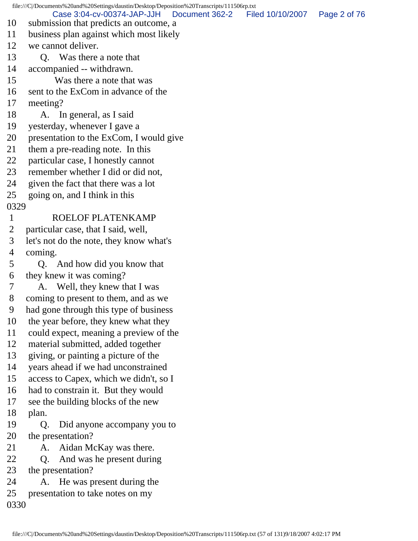file:///C|/Documents%20and%20Settings/daustin/Desktop/Deposition%20Transcripts/111506rp.txt 10 submission that predicts an outcome, a 11 business plan against which most likely 12 we cannot deliver. 13 Q. Was there a note that 14 accompanied -- withdrawn. 15 Was there a note that was 16 sent to the ExCom in advance of the 17 meeting? 18 A. In general, as I said 19 yesterday, whenever I gave a 20 presentation to the ExCom, I would give 21 them a pre-reading note. In this 22 particular case, I honestly cannot 23 remember whether I did or did not, 24 given the fact that there was a lot 25 going on, and I think in this 0329 1 ROELOF PLATENKAMP 2 particular case, that I said, well, 3 let's not do the note, they know what's 4 coming. 5 Q. And how did you know that 6 they knew it was coming? 7 A. Well, they knew that I was 8 coming to present to them, and as we 9 had gone through this type of business 10 the year before, they knew what they 11 could expect, meaning a preview of the 12 material submitted, added together 13 giving, or painting a picture of the 14 years ahead if we had unconstrained 15 access to Capex, which we didn't, so I 16 had to constrain it. But they would 17 see the building blocks of the new 18 plan. 19 Q. Did anyone accompany you to 20 the presentation? 21 A. Aidan McKay was there. 22 Q. And was he present during 23 the presentation? 24 A. He was present during the 25 presentation to take notes on my 0330 Case 3:04-cv-00374-JAP-JJH Document 362-2 Filed 10/10/2007 Page 2 of 76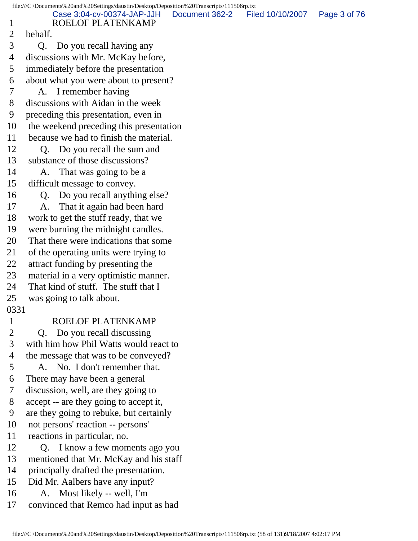| 1              | Case 3:04-cv-00374-JAP-JJH<br>ROELOF PLATENKAMP                    | Document 362-2 | Filed 10/10/2007 | Page 3 of 76 |
|----------------|--------------------------------------------------------------------|----------------|------------------|--------------|
| $\overline{2}$ | behalf.                                                            |                |                  |              |
| 3              | Do you recall having any<br>Q.                                     |                |                  |              |
| 4              | discussions with Mr. McKay before,                                 |                |                  |              |
| 5              | immediately before the presentation                                |                |                  |              |
| 6              | about what you were about to present?                              |                |                  |              |
| 7              | A. I remember having                                               |                |                  |              |
| 8              | discussions with Aidan in the week                                 |                |                  |              |
| 9              | preceding this presentation, even in                               |                |                  |              |
| 10             | the weekend preceding this presentation                            |                |                  |              |
| 11             | because we had to finish the material.                             |                |                  |              |
| 12             | Do you recall the sum and<br>Q.                                    |                |                  |              |
| 13             | substance of those discussions?                                    |                |                  |              |
| 14             | That was going to be a<br>A.                                       |                |                  |              |
| 15             | difficult message to convey.                                       |                |                  |              |
| 16             | Do you recall anything else?<br>Q.                                 |                |                  |              |
| 17             | That it again had been hard<br>A.                                  |                |                  |              |
| 18             | work to get the stuff ready, that we                               |                |                  |              |
| 19             | were burning the midnight candles.                                 |                |                  |              |
| 20             | That there were indications that some                              |                |                  |              |
| 21             | of the operating units were trying to                              |                |                  |              |
| 22             | attract funding by presenting the                                  |                |                  |              |
| 23             | material in a very optimistic manner.                              |                |                  |              |
| 24             | That kind of stuff. The stuff that I                               |                |                  |              |
| 25             | was going to talk about.                                           |                |                  |              |
| 0331           |                                                                    |                |                  |              |
|                | ROELOF PLATENKAMP                                                  |                |                  |              |
| $\overline{2}$ | Do you recall discussing<br>Q.                                     |                |                  |              |
| 3              | with him how Phil Watts would react to                             |                |                  |              |
| 4              | the message that was to be conveyed?                               |                |                  |              |
| 5              | A. No. I don't remember that.                                      |                |                  |              |
| 6              | There may have been a general                                      |                |                  |              |
| 7              | discussion, well, are they going to                                |                |                  |              |
| 8              | accept -- are they going to accept it,                             |                |                  |              |
| 9<br>10        | are they going to rebuke, but certainly                            |                |                  |              |
| 11             | not persons' reaction -- persons'                                  |                |                  |              |
| 12             | reactions in particular, no.<br>I know a few moments ago you<br>Q. |                |                  |              |
| 13             | mentioned that Mr. McKay and his staff                             |                |                  |              |
| 14             | principally drafted the presentation.                              |                |                  |              |
| 15             | Did Mr. Aalbers have any input?                                    |                |                  |              |
| 16             | Most likely -- well, I'm<br>A.                                     |                |                  |              |
| 17             | convinced that Remco had input as had                              |                |                  |              |
|                |                                                                    |                |                  |              |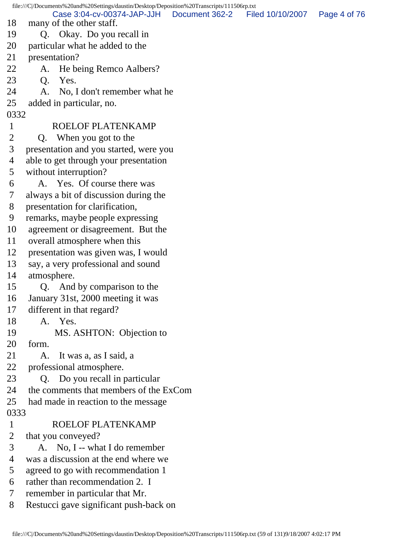file:///C|/Documents%20and%20Settings/daustin/Desktop/Deposition%20Transcripts/111506rp.txt 18 many of the other staff. 19 Q. Okay. Do you recall in 20 particular what he added to the 21 presentation? 22 A. He being Remco Aalbers? 23 Q. Yes. 24 A. No, I don't remember what he 25 added in particular, no. 0332 1 ROELOF PLATENKAMP 2 Q. When you got to the 3 presentation and you started, were you 4 able to get through your presentation 5 without interruption? 6 A. Yes. Of course there was 7 always a bit of discussion during the 8 presentation for clarification, 9 remarks, maybe people expressing 10 agreement or disagreement. But the 11 overall atmosphere when this 12 presentation was given was, I would 13 say, a very professional and sound 14 atmosphere. 15 Q. And by comparison to the 16 January 31st, 2000 meeting it was 17 different in that regard? 18 A. Yes. 19 MS. ASHTON: Objection to 20 form. 21 A. It was a, as I said, a 22 professional atmosphere. 23 Q. Do you recall in particular 24 the comments that members of the ExCom 25 had made in reaction to the message 0333 1 ROELOF PLATENKAMP 2 that you conveyed? 3 A. No, I -- what I do remember 4 was a discussion at the end where we 5 agreed to go with recommendation 1 6 rather than recommendation 2. I 7 remember in particular that Mr. 8 Restucci gave significant push-back on Case 3:04-cv-00374-JAP-JJH Document 362-2 Filed 10/10/2007 Page 4 of 76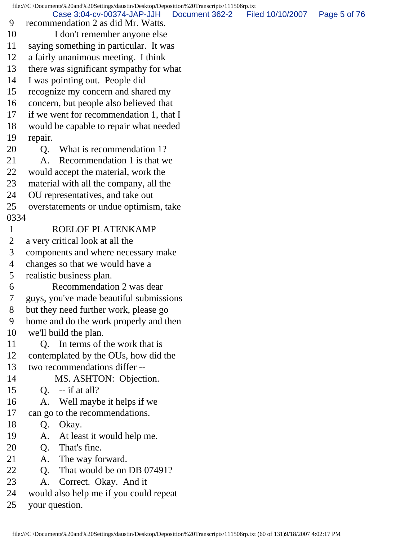file:///C|/Documents%20and%20Settings/daustin/Desktop/Deposition%20Transcripts/111506rp.txt 9 recommendation 2 as did Mr. Watts. 10 I don't remember anyone else 11 saying something in particular. It was 12 a fairly unanimous meeting. I think 13 there was significant sympathy for what 14 I was pointing out. People did 15 recognize my concern and shared my 16 concern, but people also believed that 17 if we went for recommendation 1, that I 18 would be capable to repair what needed 19 repair. 20 Q. What is recommendation 1? 21 A. Recommendation 1 is that we 22 would accept the material, work the 23 material with all the company, all the 24 OU representatives, and take out 25 overstatements or undue optimism, take 0334 1 ROELOF PLATENKAMP 2 a very critical look at all the 3 components and where necessary make 4 changes so that we would have a 5 realistic business plan. 6 Recommendation 2 was dear 7 guys, you've made beautiful submissions 8 but they need further work, please go 9 home and do the work properly and then 10 we'll build the plan. 11 Q. In terms of the work that is 12 contemplated by the OUs, how did the 13 two recommendations differ -- 14 MS. ASHTON: Objection. 15 Q. -- if at all? 16 A. Well maybe it helps if we 17 can go to the recommendations. 18 Q. Okay. 19 A. At least it would help me. 20 Q. That's fine. 21 A. The way forward. 22 O. That would be on DB 07491? 23 A. Correct. Okay. And it 24 would also help me if you could repeat 25 your question. Case 3:04-cv-00374-JAP-JJH Document 362-2 Filed 10/10/2007 Page 5 of 76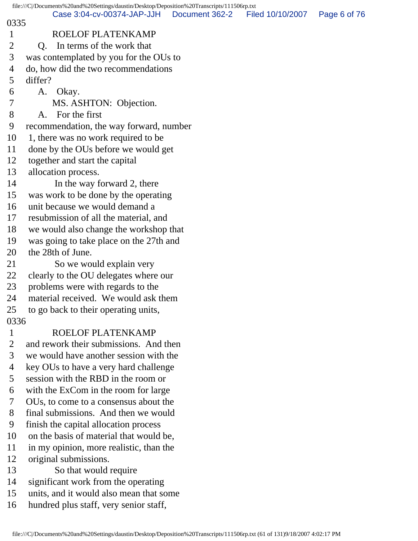|              | file:///C/Documents%20and%20Settings/daustin/Desktop/Deposition%20Transcripts/111506rp.txt |                |                  |              |
|--------------|--------------------------------------------------------------------------------------------|----------------|------------------|--------------|
| 0335         | Case 3:04-cv-00374-JAP-JJH                                                                 | Document 362-2 | Filed 10/10/2007 | Page 6 of 76 |
| 1            | ROELOF PLATENKAMP                                                                          |                |                  |              |
| 2            | In terms of the work that<br>Q.                                                            |                |                  |              |
| 3            | was contemplated by you for the OUs to                                                     |                |                  |              |
| 4            | do, how did the two recommendations                                                        |                |                  |              |
| 5            | differ?                                                                                    |                |                  |              |
| 6            | A. Okay.                                                                                   |                |                  |              |
| 7            | MS. ASHTON: Objection.                                                                     |                |                  |              |
| 8            | For the first<br>A.                                                                        |                |                  |              |
| 9            | recommendation, the way forward, number                                                    |                |                  |              |
| 10           | 1, there was no work required to be                                                        |                |                  |              |
| 11           | done by the OUs before we would get                                                        |                |                  |              |
| 12           | together and start the capital                                                             |                |                  |              |
| 13           | allocation process.                                                                        |                |                  |              |
| 14           | In the way forward 2, there                                                                |                |                  |              |
| 15           | was work to be done by the operating                                                       |                |                  |              |
| 16           | unit because we would demand a                                                             |                |                  |              |
| 17           | resubmission of all the material, and                                                      |                |                  |              |
| 18           | we would also change the workshop that                                                     |                |                  |              |
| 19           | was going to take place on the 27th and                                                    |                |                  |              |
| 20           | the 28th of June.                                                                          |                |                  |              |
| 21           | So we would explain very                                                                   |                |                  |              |
| 22           | clearly to the OU delegates where our                                                      |                |                  |              |
| 23           | problems were with regards to the                                                          |                |                  |              |
| 24           | material received. We would ask them                                                       |                |                  |              |
| 25           | to go back to their operating units,                                                       |                |                  |              |
| 0336         |                                                                                            |                |                  |              |
| $\mathbf{1}$ | ROELOF PLATENKAMP                                                                          |                |                  |              |
| 2            | and rework their submissions. And then                                                     |                |                  |              |
| 3            | we would have another session with the                                                     |                |                  |              |
| 4            | key OUs to have a very hard challenge                                                      |                |                  |              |
| 5            | session with the RBD in the room or                                                        |                |                  |              |
| 6            | with the ExCom in the room for large                                                       |                |                  |              |
| 7            | OU <sub>s</sub> , to come to a consensus about the                                         |                |                  |              |
| 8            | final submissions. And then we would                                                       |                |                  |              |
| 9            | finish the capital allocation process                                                      |                |                  |              |
| 10           | on the basis of material that would be,                                                    |                |                  |              |
| 11           | in my opinion, more realistic, than the                                                    |                |                  |              |
| 12           | original submissions.                                                                      |                |                  |              |
| 13           | So that would require                                                                      |                |                  |              |
| 14           | significant work from the operating                                                        |                |                  |              |
| 15           | units, and it would also mean that some                                                    |                |                  |              |
| 16           | hundred plus staff, very senior staff,                                                     |                |                  |              |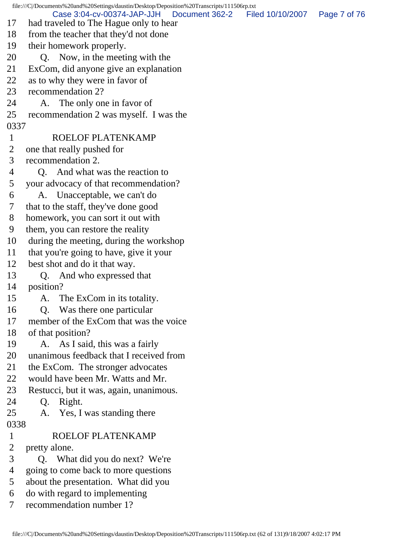file:///C|/Documents%20and%20Settings/daustin/Desktop/Deposition%20Transcripts/111506rp.txt 17 had traveled to The Hague only to hear 18 from the teacher that they'd not done 19 their homework properly. 20 Q. Now, in the meeting with the 21 ExCom, did anyone give an explanation 22 as to why they were in favor of 23 recommendation 2? 24 A. The only one in favor of 25 recommendation 2 was myself. I was the 0337 1 ROELOF PLATENKAMP 2 one that really pushed for 3 recommendation 2. 4 Q. And what was the reaction to 5 your advocacy of that recommendation? 6 A. Unacceptable, we can't do 7 that to the staff, they've done good 8 homework, you can sort it out with 9 them, you can restore the reality 10 during the meeting, during the workshop 11 that you're going to have, give it your 12 best shot and do it that way. 13 Q. And who expressed that 14 position? 15 A. The ExCom in its totality. 16 Q. Was there one particular 17 member of the ExCom that was the voice 18 of that position? 19 A. As I said, this was a fairly 20 unanimous feedback that I received from 21 the ExCom. The stronger advocates 22 would have been Mr. Watts and Mr. 23 Restucci, but it was, again, unanimous. 24 Q. Right. 25 A. Yes, I was standing there 0338 1 ROELOF PLATENKAMP 2 pretty alone. 3 Q. What did you do next? We're 4 going to come back to more questions 5 about the presentation. What did you 6 do with regard to implementing 7 recommendation number 1? Case 3:04-cv-00374-JAP-JJH Document 362-2 Filed 10/10/2007 Page 7 of 76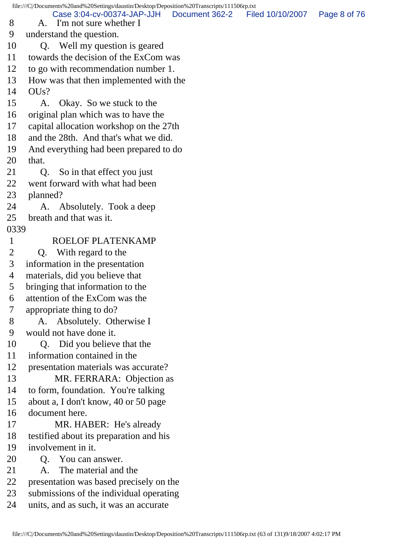file:///C|/Documents%20and%20Settings/daustin/Desktop/Deposition%20Transcripts/111506rp.txt 8 A. I'm not sure whether I 9 understand the question. 10 Q. Well my question is geared 11 towards the decision of the ExCom was 12 to go with recommendation number 1. 13 How was that then implemented with the  $14$  OUs? 15 A. Okay. So we stuck to the 16 original plan which was to have the 17 capital allocation workshop on the 27th 18 and the 28th. And that's what we did. 19 And everything had been prepared to do 20 that. 21 Q. So in that effect you just 22 went forward with what had been 23 planned? 24 A. Absolutely. Took a deep 25 breath and that was it. 0339 1 ROELOF PLATENKAMP 2 Q. With regard to the 3 information in the presentation 4 materials, did you believe that 5 bringing that information to the 6 attention of the ExCom was the 7 appropriate thing to do? 8 A. Absolutely. Otherwise I 9 would not have done it. 10 Q. Did you believe that the 11 information contained in the 12 presentation materials was accurate? 13 MR. FERRARA: Objection as 14 to form, foundation. You're talking 15 about a, I don't know, 40 or 50 page 16 document here. 17 MR. HABER: He's already 18 testified about its preparation and his 19 involvement in it. 20 Q. You can answer. 21 A. The material and the 22 presentation was based precisely on the 23 submissions of the individual operating Case 3:04-cv-00374-JAP-JJH Document 362-2 Filed 10/10/2007 Page 8 of 76

24 units, and as such, it was an accurate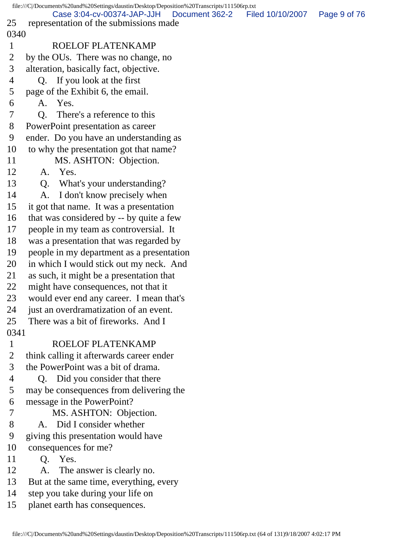|                | file:///C /Documents%20and%20Settings/daustin/Desktop/Deposition%20Transcripts/111506rp.txt |                  |              |
|----------------|---------------------------------------------------------------------------------------------|------------------|--------------|
| 25             | Case 3:04-cv-00374-JAP-JJH<br>Document 362-2                                                | Filed 10/10/2007 | Page 9 of 76 |
| 0340           | representation of the submissions made                                                      |                  |              |
|                | ROELOF PLATENKAMP                                                                           |                  |              |
| $\mathbf{1}$   |                                                                                             |                  |              |
| 2              | by the OUs. There was no change, no                                                         |                  |              |
| 3              | alteration, basically fact, objective.                                                      |                  |              |
| $\overline{4}$ | Q. If you look at the first                                                                 |                  |              |
| 5              | page of the Exhibit 6, the email.                                                           |                  |              |
| 6              | A. Yes.                                                                                     |                  |              |
| 7              | There's a reference to this<br>0.                                                           |                  |              |
| 8              | PowerPoint presentation as career                                                           |                  |              |
| 9              | ender. Do you have an understanding as                                                      |                  |              |
| 10             | to why the presentation got that name?                                                      |                  |              |
| 11             | MS. ASHTON: Objection.                                                                      |                  |              |
| 12             | A. Yes.                                                                                     |                  |              |
| 13             | What's your understanding?<br>Q.                                                            |                  |              |
| 14             | I don't know precisely when<br>A.                                                           |                  |              |
| 15             | it got that name. It was a presentation                                                     |                  |              |
| 16             | that was considered by -- by quite a few                                                    |                  |              |
| 17             | people in my team as controversial. It                                                      |                  |              |
| 18             | was a presentation that was regarded by                                                     |                  |              |
| 19             | people in my department as a presentation                                                   |                  |              |
| 20             | in which I would stick out my neck. And                                                     |                  |              |
| 21             | as such, it might be a presentation that                                                    |                  |              |
| 22             | might have consequences, not that it                                                        |                  |              |
| 23             | would ever end any career. I mean that's                                                    |                  |              |
| 24             | just an overdramatization of an event.                                                      |                  |              |
| 25             | There was a bit of fireworks. And I                                                         |                  |              |
| 0341           |                                                                                             |                  |              |
| $\mathbf{1}$   | ROELOF PLATENKAMP                                                                           |                  |              |
| $\overline{2}$ | think calling it afterwards career ender                                                    |                  |              |
| 3              | the PowerPoint was a bit of drama.                                                          |                  |              |
| 4              | Q. Did you consider that there                                                              |                  |              |
| 5              | may be consequences from delivering the                                                     |                  |              |
| 6              | message in the PowerPoint?                                                                  |                  |              |
| $\tau$         | MS. ASHTON: Objection.                                                                      |                  |              |
| 8              | A. Did I consider whether                                                                   |                  |              |
| 9              | giving this presentation would have                                                         |                  |              |
| 10             | consequences for me?                                                                        |                  |              |
| 11             | Q. Yes.                                                                                     |                  |              |
| 12             | The answer is clearly no.<br>A.                                                             |                  |              |
| 13             | But at the same time, everything, every                                                     |                  |              |
| 14             | step you take during your life on                                                           |                  |              |
| 15             | planet earth has consequences.                                                              |                  |              |
|                |                                                                                             |                  |              |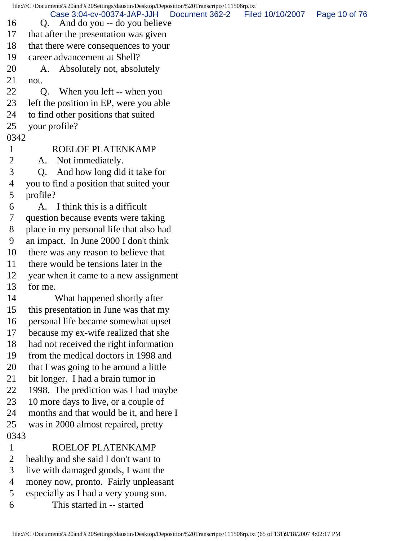file:///C|/Documents%20and%20Settings/daustin/Desktop/Deposition%20Transcripts/111506rp.txt 16 Q. And do you -- do you believe 17 that after the presentation was given 18 that there were consequences to your 19 career advancement at Shell? 20 A. Absolutely not, absolutely 21 not. 22 Q. When you left -- when you 23 left the position in EP, were you able 24 to find other positions that suited 25 your profile? 0342 1 ROELOF PLATENKAMP 2 A. Not immediately. 3 Q. And how long did it take for 4 you to find a position that suited your 5 profile? 6 A. I think this is a difficult 7 question because events were taking 8 place in my personal life that also had 9 an impact. In June 2000 I don't think 10 there was any reason to believe that 11 there would be tensions later in the 12 year when it came to a new assignment 13 for me. 14 What happened shortly after 15 this presentation in June was that my 16 personal life became somewhat upset 17 because my ex-wife realized that she 18 had not received the right information 19 from the medical doctors in 1998 and 20 that I was going to be around a little 21 bit longer. I had a brain tumor in 22 1998. The prediction was I had maybe 23 10 more days to live, or a couple of 24 months and that would be it, and here I 25 was in 2000 almost repaired, pretty 0343 1 ROELOF PLATENKAMP 2 healthy and she said I don't want to 3 live with damaged goods, I want the 4 money now, pronto. Fairly unpleasant 5 especially as I had a very young son. 6 This started in -- started Case 3:04-cv-00374-JAP-JJH Document 362-2 Filed 10/10/2007 Page 10 of 76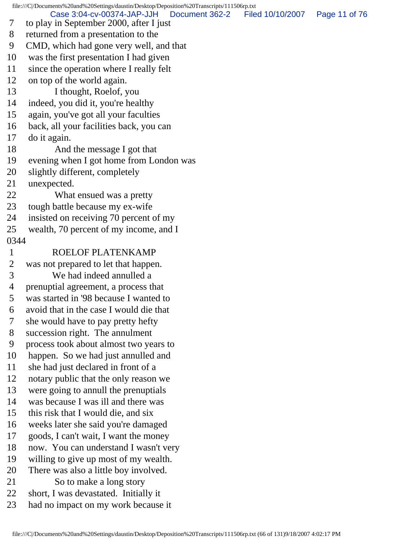file:///C|/Documents%20and%20Settings/daustin/Desktop/Deposition%20Transcripts/111506rp.txt 7 to play in September 2000, after I just 8 returned from a presentation to the 9 CMD, which had gone very well, and that 10 was the first presentation I had given 11 since the operation where I really felt 12 on top of the world again. 13 I thought, Roelof, you 14 indeed, you did it, you're healthy 15 again, you've got all your faculties 16 back, all your facilities back, you can 17 do it again. 18 And the message I got that 19 evening when I got home from London was 20 slightly different, completely 21 unexpected. 22 What ensued was a pretty 23 tough battle because my ex-wife 24 insisted on receiving 70 percent of my 25 wealth, 70 percent of my income, and I 0344 1 ROELOF PLATENKAMP 2 was not prepared to let that happen. 3 We had indeed annulled a 4 prenuptial agreement, a process that 5 was started in '98 because I wanted to 6 avoid that in the case I would die that 7 she would have to pay pretty hefty 8 succession right. The annulment 9 process took about almost two years to 10 happen. So we had just annulled and 11 she had just declared in front of a 12 notary public that the only reason we 13 were going to annull the prenuptials 14 was because I was ill and there was 15 this risk that I would die, and six 16 weeks later she said you're damaged 17 goods, I can't wait, I want the money 18 now. You can understand I wasn't very 19 willing to give up most of my wealth. 20 There was also a little boy involved. 21 So to make a long story 22 short, I was devastated. Initially it 23 had no impact on my work because it Case 3:04-cv-00374-JAP-JJH Document 362-2 Filed 10/10/2007 Page 11 of 76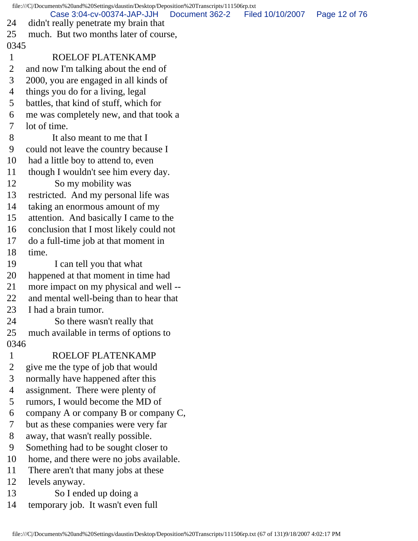file:///C|/Documents%20and%20Settings/daustin/Desktop/Deposition%20Transcripts/111506rp.txt 24 didn't really penetrate my brain that 25 much. But two months later of course, 0345 1 ROELOF PLATENKAMP 2 and now I'm talking about the end of 3 2000, you are engaged in all kinds of 4 things you do for a living, legal 5 battles, that kind of stuff, which for 6 me was completely new, and that took a 7 lot of time. 8 It also meant to me that I 9 could not leave the country because I 10 had a little boy to attend to, even 11 though I wouldn't see him every day. 12 So my mobility was 13 restricted. And my personal life was 14 taking an enormous amount of my 15 attention. And basically I came to the 16 conclusion that I most likely could not 17 do a full-time job at that moment in 18 time. 19 I can tell you that what 20 happened at that moment in time had 21 more impact on my physical and well -- 22 and mental well-being than to hear that 23 I had a brain tumor. 24 So there wasn't really that 25 much available in terms of options to 0346 1 ROELOF PLATENKAMP 2 give me the type of job that would 3 normally have happened after this 4 assignment. There were plenty of 5 rumors, I would become the MD of 6 company A or company B or company C, 7 but as these companies were very far 8 away, that wasn't really possible. 9 Something had to be sought closer to 10 home, and there were no jobs available. 11 There aren't that many jobs at these 12 levels anyway. 13 So I ended up doing a 14 temporary job. It wasn't even full Case 3:04-cv-00374-JAP-JJH Document 362-2 Filed 10/10/2007 Page 12 of 76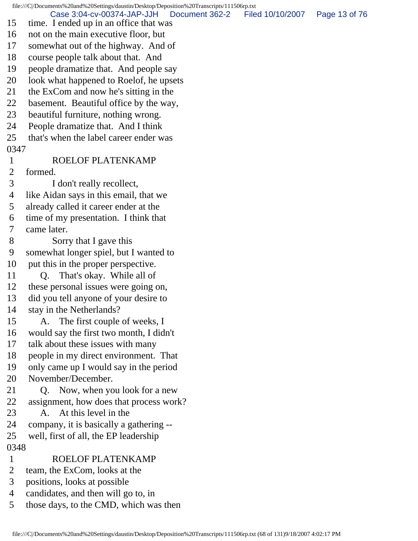file:///C|/Documents%20and%20Settings/daustin/Desktop/Deposition%20Transcripts/111506rp.txt 15 time. I ended up in an office that was 16 not on the main executive floor, but 17 somewhat out of the highway. And of 18 course people talk about that. And 19 people dramatize that. And people say 20 look what happened to Roelof, he upsets 21 the ExCom and now he's sitting in the 22 basement. Beautiful office by the way, 23 beautiful furniture, nothing wrong. 24 People dramatize that. And I think 25 that's when the label career ender was 0347 1 ROELOF PLATENKAMP 2 formed. 3 I don't really recollect, 4 like Aidan says in this email, that we 5 already called it career ender at the 6 time of my presentation. I think that 7 came later. 8 Sorry that I gave this 9 somewhat longer spiel, but I wanted to 10 put this in the proper perspective. 11 Q. That's okay. While all of 12 these personal issues were going on, 13 did you tell anyone of your desire to 14 stay in the Netherlands? 15 A. The first couple of weeks, I 16 would say the first two month, I didn't 17 talk about these issues with many 18 people in my direct environment. That 19 only came up I would say in the period 20 November/December. 21 Q. Now, when you look for a new 22 assignment, how does that process work? 23 A. At this level in the 24 company, it is basically a gathering -- 25 well, first of all, the EP leadership 0348 1 ROELOF PLATENKAMP 2 team, the ExCom, looks at the 3 positions, looks at possible 4 candidates, and then will go to, in 5 those days, to the CMD, which was then Case 3:04-cv-00374-JAP-JJH Document 362-2 Filed 10/10/2007 Page 13 of 76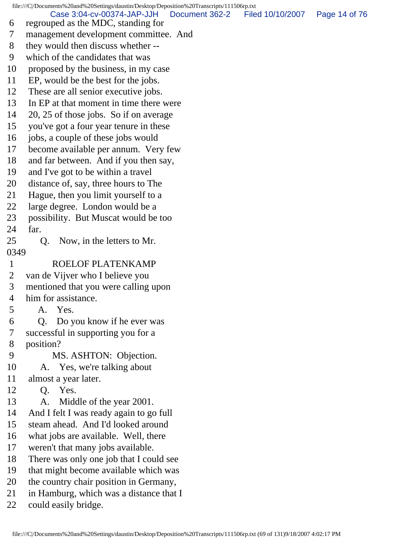file:///C|/Documents%20and%20Settings/daustin/Desktop/Deposition%20Transcripts/111506rp.txt 6 regrouped as the MDC, standing for 7 management development committee. And 8 they would then discuss whether -- 9 which of the candidates that was 10 proposed by the business, in my case 11 EP, would be the best for the jobs. 12 These are all senior executive jobs. 13 In EP at that moment in time there were 14 20, 25 of those jobs. So if on average 15 you've got a four year tenure in these 16 jobs, a couple of these jobs would 17 become available per annum. Very few 18 and far between. And if you then say, 19 and I've got to be within a travel 20 distance of, say, three hours to The 21 Hague, then you limit yourself to a 22 large degree. London would be a 23 possibility. But Muscat would be too 24 far. 25 Q. Now, in the letters to Mr. 0349 1 ROELOF PLATENKAMP 2 van de Vijver who I believe you 3 mentioned that you were calling upon 4 him for assistance. 5 A. Yes. 6 Q. Do you know if he ever was 7 successful in supporting you for a 8 position? 9 MS. ASHTON: Objection. 10 A. Yes, we're talking about 11 almost a year later. 12 Q. Yes. 13 A. Middle of the year 2001. 14 And I felt I was ready again to go full 15 steam ahead. And I'd looked around 16 what jobs are available. Well, there 17 weren't that many jobs available. 18 There was only one job that I could see 19 that might become available which was Case 3:04-cv-00374-JAP-JJH Document 362-2 Filed 10/10/2007 Page 14 of 76

- 20 the country chair position in Germany,
- 21 in Hamburg, which was a distance that I
- 22 could easily bridge.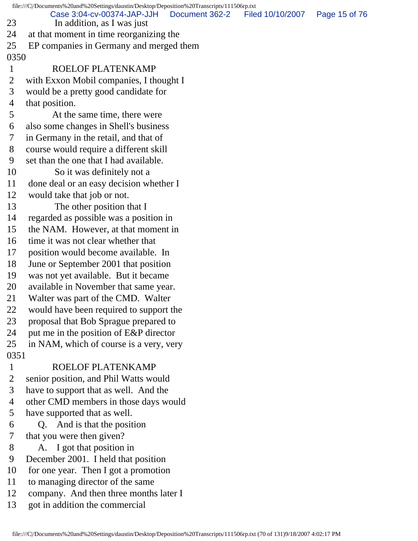file:///C|/Documents%20and%20Settings/daustin/Desktop/Deposition%20Transcripts/111506rp.txt 23 In addition, as I was just 24 at that moment in time reorganizing the 25 EP companies in Germany and merged them 0350 1 ROELOF PLATENKAMP 2 with Exxon Mobil companies, I thought I 3 would be a pretty good candidate for 4 that position. 5 At the same time, there were 6 also some changes in Shell's business 7 in Germany in the retail, and that of 8 course would require a different skill 9 set than the one that I had available. 10 So it was definitely not a 11 done deal or an easy decision whether I 12 would take that job or not. 13 The other position that I 14 regarded as possible was a position in 15 the NAM. However, at that moment in 16 time it was not clear whether that 17 position would become available. In 18 June or September 2001 that position 19 was not yet available. But it became 20 available in November that same year. 21 Walter was part of the CMD. Walter 22 would have been required to support the 23 proposal that Bob Sprague prepared to 24 put me in the position of E&P director 25 in NAM, which of course is a very, very 0351 1 ROELOF PLATENKAMP 2 senior position, and Phil Watts would 3 have to support that as well. And the 4 other CMD members in those days would 5 have supported that as well. 6 Q. And is that the position 7 that you were then given? 8 A. I got that position in 9 December 2001. I held that position 10 for one year. Then I got a promotion 11 to managing director of the same 12 company. And then three months later I 13 got in addition the commercial Case 3:04-cv-00374-JAP-JJH Document 362-2 Filed 10/10/2007 Page 15 of 76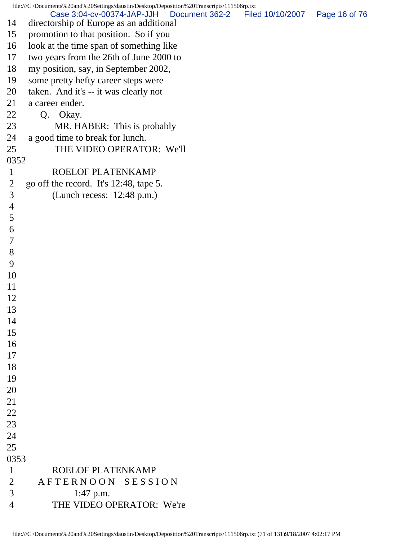|                | file:///C//Documents%20and%20Settings/daustin/Desktop/Deposition%20Transcripts/111506rp.txt |                |                  |               |
|----------------|---------------------------------------------------------------------------------------------|----------------|------------------|---------------|
| 14             | Case 3:04-cv-00374-JAP-JJH<br>directorship of Europe as an additional                       | Document 362-2 | Filed 10/10/2007 | Page 16 of 76 |
| 15             | promotion to that position. So if you                                                       |                |                  |               |
| 16             | look at the time span of something like                                                     |                |                  |               |
| 17             | two years from the 26th of June 2000 to                                                     |                |                  |               |
| 18             | my position, say, in September 2002,                                                        |                |                  |               |
| 19             | some pretty hefty career steps were                                                         |                |                  |               |
| 20             | taken. And it's -- it was clearly not                                                       |                |                  |               |
| 21             | a career ender.                                                                             |                |                  |               |
| 22             | Q. Okay.                                                                                    |                |                  |               |
| 23             | MR. HABER: This is probably                                                                 |                |                  |               |
| 24             | a good time to break for lunch.                                                             |                |                  |               |
| 25             | THE VIDEO OPERATOR: We'll                                                                   |                |                  |               |
| 0352           |                                                                                             |                |                  |               |
| $\mathbf{1}$   | <b>ROELOF PLATENKAMP</b>                                                                    |                |                  |               |
| $\overline{2}$ | go off the record. It's 12:48, tape 5.                                                      |                |                  |               |
| 3              | (Lunch recess: $12:48$ p.m.)                                                                |                |                  |               |
| 4              |                                                                                             |                |                  |               |
| 5              |                                                                                             |                |                  |               |
| 6              |                                                                                             |                |                  |               |
| 7              |                                                                                             |                |                  |               |
| 8              |                                                                                             |                |                  |               |
| 9              |                                                                                             |                |                  |               |
| 10             |                                                                                             |                |                  |               |
| 11             |                                                                                             |                |                  |               |
| 12             |                                                                                             |                |                  |               |
| 13             |                                                                                             |                |                  |               |
| 14             |                                                                                             |                |                  |               |
| 15             |                                                                                             |                |                  |               |
| 16             |                                                                                             |                |                  |               |
| 17             |                                                                                             |                |                  |               |
| 18             |                                                                                             |                |                  |               |
| 19             |                                                                                             |                |                  |               |
| 20             |                                                                                             |                |                  |               |
| 21             |                                                                                             |                |                  |               |
| 22             |                                                                                             |                |                  |               |
| 23             |                                                                                             |                |                  |               |
| 24             |                                                                                             |                |                  |               |
| 25             |                                                                                             |                |                  |               |
| 0353           |                                                                                             |                |                  |               |
| $\mathbf{1}$   | ROELOF PLATENKAMP                                                                           |                |                  |               |
| $\overline{2}$ | AFTERNOON SESSION                                                                           |                |                  |               |
| 3              | 1:47 p.m.                                                                                   |                |                  |               |
| $\overline{4}$ | THE VIDEO OPERATOR: We're                                                                   |                |                  |               |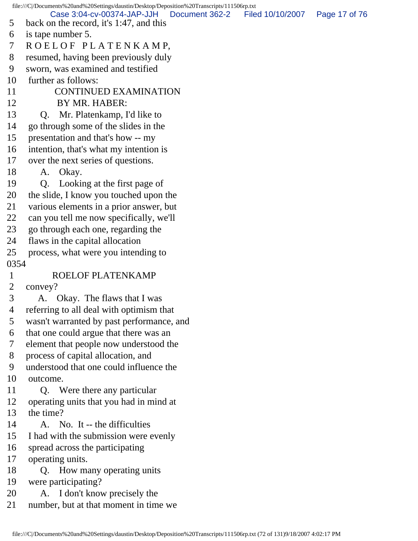file:///C|/Documents%20and%20Settings/daustin/Desktop/Deposition%20Transcripts/111506rp.txt 5 back on the record, it's 1:47, and this 6 is tape number 5. 7 R O E L O F P L A T E N K A M P, 8 resumed, having been previously duly 9 sworn, was examined and testified 10 further as follows: 11 CONTINUED EXAMINATION 12 BY MR. HABER: 13 Q. Mr. Platenkamp, I'd like to 14 go through some of the slides in the 15 presentation and that's how -- my 16 intention, that's what my intention is 17 over the next series of questions. 18 A. Okay. 19 Q. Looking at the first page of 20 the slide, I know you touched upon the 21 various elements in a prior answer, but 22 can you tell me now specifically, we'll 23 go through each one, regarding the 24 flaws in the capital allocation 25 process, what were you intending to 0354 1 ROELOF PLATENKAMP 2 convey? 3 A. Okay. The flaws that I was 4 referring to all deal with optimism that 5 wasn't warranted by past performance, and 6 that one could argue that there was an 7 element that people now understood the 8 process of capital allocation, and 9 understood that one could influence the 10 outcome. 11 Q. Were there any particular 12 operating units that you had in mind at 13 the time? 14 A. No. It -- the difficulties 15 I had with the submission were evenly 16 spread across the participating 17 operating units. 18 Q. How many operating units 19 were participating? 20 A. I don't know precisely the 21 number, but at that moment in time we Case 3:04-cv-00374-JAP-JJH Document 362-2 Filed 10/10/2007 Page 17 of 76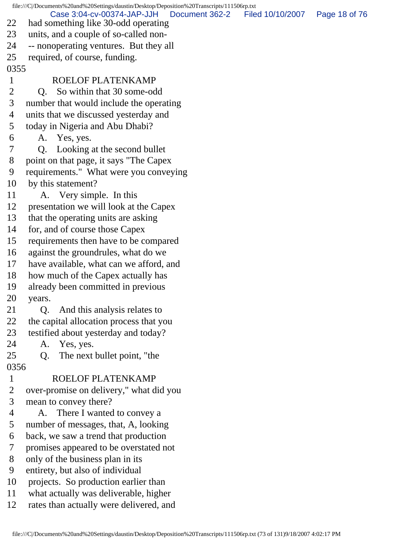file:///C|/Documents%20and%20Settings/daustin/Desktop/Deposition%20Transcripts/111506rp.txt 22 had something like 30-odd operating 23 units, and a couple of so-called non-24 -- nonoperating ventures. But they all 25 required, of course, funding. 0355 1 ROELOF PLATENKAMP 2 Q. So within that 30 some-odd 3 number that would include the operating 4 units that we discussed yesterday and 5 today in Nigeria and Abu Dhabi? 6 A. Yes, yes. 7 Q. Looking at the second bullet 8 point on that page, it says "The Capex 9 requirements." What were you conveying 10 by this statement? 11 A. Very simple. In this 12 presentation we will look at the Capex 13 that the operating units are asking 14 for, and of course those Capex 15 requirements then have to be compared 16 against the groundrules, what do we 17 have available, what can we afford, and 18 how much of the Capex actually has 19 already been committed in previous 20 years. 21 Q. And this analysis relates to 22 the capital allocation process that you 23 testified about yesterday and today? 24 A. Yes, yes. 25 Q. The next bullet point, "the 0356 1 ROELOF PLATENKAMP 2 over-promise on delivery," what did you 3 mean to convey there? 4 A. There I wanted to convey a 5 number of messages, that, A, looking 6 back, we saw a trend that production 7 promises appeared to be overstated not 8 only of the business plan in its 9 entirety, but also of individual 10 projects. So production earlier than 11 what actually was deliverable, higher 12 rates than actually were delivered, and Case 3:04-cv-00374-JAP-JJH Document 362-2 Filed 10/10/2007 Page 18 of 76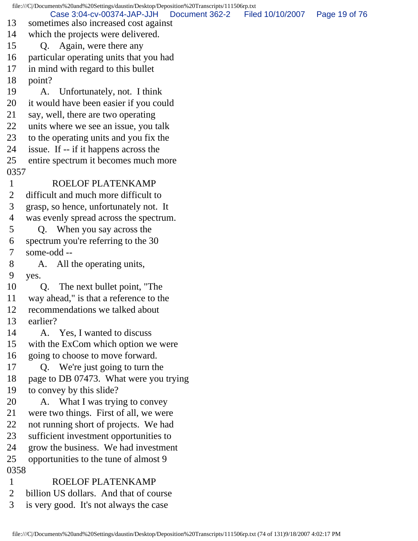file:///C|/Documents%20and%20Settings/daustin/Desktop/Deposition%20Transcripts/111506rp.txt 13 sometimes also increased cost against 14 which the projects were delivered. 15 Q. Again, were there any 16 particular operating units that you had 17 in mind with regard to this bullet 18 point? 19 A. Unfortunately, not. I think 20 it would have been easier if you could 21 say, well, there are two operating 22 units where we see an issue, you talk 23 to the operating units and you fix the 24 issue. If -- if it happens across the 25 entire spectrum it becomes much more 0357 1 ROELOF PLATENKAMP 2 difficult and much more difficult to 3 grasp, so hence, unfortunately not. It 4 was evenly spread across the spectrum. 5 Q. When you say across the 6 spectrum you're referring to the 30 7 some-odd -- 8 A. All the operating units, 9 yes. 10 Q. The next bullet point, "The 11 way ahead," is that a reference to the 12 recommendations we talked about 13 earlier? 14 A. Yes, I wanted to discuss 15 with the ExCom which option we were 16 going to choose to move forward. 17 Q. We're just going to turn the 18 page to DB 07473. What were you trying 19 to convey by this slide? 20 A. What I was trying to convey 21 were two things. First of all, we were 22 not running short of projects. We had 23 sufficient investment opportunities to 24 grow the business. We had investment 25 opportunities to the tune of almost 9 0358 1 ROELOF PLATENKAMP 2 billion US dollars. And that of course 3 is very good. It's not always the case Case 3:04-cv-00374-JAP-JJH Document 362-2 Filed 10/10/2007 Page 19 of 76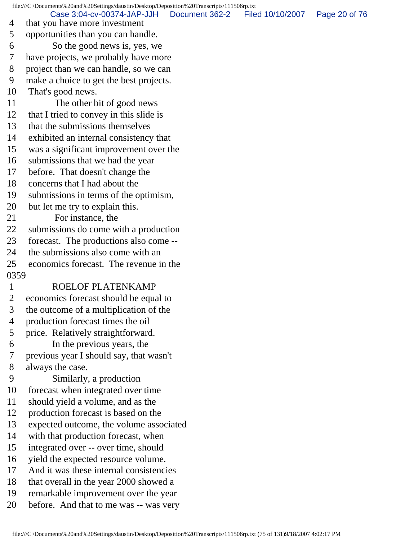file:///C|/Documents%20and%20Settings/daustin/Desktop/Deposition%20Transcripts/111506rp.txt 4 that you have more investment 5 opportunities than you can handle. 6 So the good news is, yes, we 7 have projects, we probably have more 8 project than we can handle, so we can 9 make a choice to get the best projects. 10 That's good news. 11 The other bit of good news 12 that I tried to convey in this slide is 13 that the submissions themselves 14 exhibited an internal consistency that 15 was a significant improvement over the 16 submissions that we had the year 17 before. That doesn't change the 18 concerns that I had about the 19 submissions in terms of the optimism, 20 but let me try to explain this. 21 For instance, the 22 submissions do come with a production 23 forecast. The productions also come -- 24 the submissions also come with an 25 economics forecast. The revenue in the 0359 1 ROELOF PLATENKAMP 2 economics forecast should be equal to 3 the outcome of a multiplication of the 4 production forecast times the oil 5 price. Relatively straightforward. 6 In the previous years, the 7 previous year I should say, that wasn't 8 always the case. 9 Similarly, a production 10 forecast when integrated over time 11 should yield a volume, and as the 12 production forecast is based on the 13 expected outcome, the volume associated 14 with that production forecast, when 15 integrated over -- over time, should 16 yield the expected resource volume. 17 And it was these internal consistencies 18 that overall in the year 2000 showed a 19 remarkable improvement over the year 20 before. And that to me was -- was very Case 3:04-cv-00374-JAP-JJH Document 362-2 Filed 10/10/2007 Page 20 of 76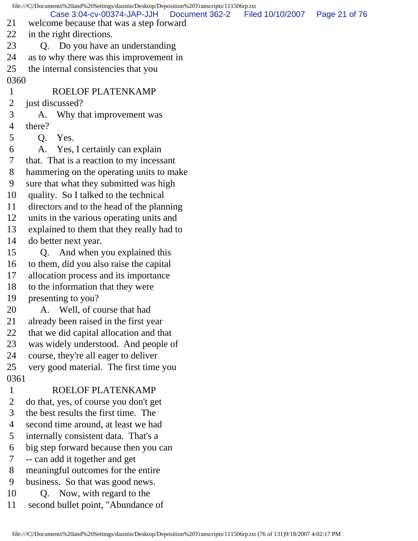file:///C|/Documents%20and%20Settings/daustin/Desktop/Deposition%20Transcripts/111506rp.txt 21 welcome because that was a step forward 22 in the right directions. 23 Q. Do you have an understanding 24 as to why there was this improvement in 25 the internal consistencies that you 0360 1 ROELOF PLATENKAMP 2 just discussed? 3 A. Why that improvement was 4 there? 5 Q. Yes. 6 A. Yes, I certainly can explain 7 that. That is a reaction to my incessant 8 hammering on the operating units to make 9 sure that what they submitted was high 10 quality. So I talked to the technical 11 directors and to the head of the planning 12 units in the various operating units and 13 explained to them that they really had to 14 do better next year. 15 Q. And when you explained this 16 to them, did you also raise the capital 17 allocation process and its importance 18 to the information that they were 19 presenting to you? 20 A. Well, of course that had 21 already been raised in the first year 22 that we did capital allocation and that 23 was widely understood. And people of 24 course, they're all eager to deliver 25 very good material. The first time you 0361 1 ROELOF PLATENKAMP 2 do that, yes, of course you don't get 3 the best results the first time. The 4 second time around, at least we had 5 internally consistent data. That's a 6 big step forward because then you can 7 -- can add it together and get 8 meaningful outcomes for the entire 9 business. So that was good news. 10 Q. Now, with regard to the 11 second bullet point, "Abundance of Case 3:04-cv-00374-JAP-JJH Document 362-2 Filed 10/10/2007 Page 21 of 76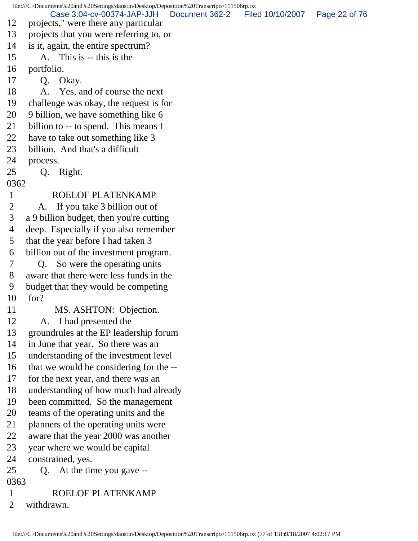file:///C|/Documents%20and%20Settings/daustin/Desktop/Deposition%20Transcripts/111506rp.txt 12 projects," were there any particular 13 projects that you were referring to, or 14 is it, again, the entire spectrum? 15 A. This is -- this is the 16 portfolio. 17 Q. Okay. 18 A. Yes, and of course the next 19 challenge was okay, the request is for 20 9 billion, we have something like 6 21 billion to -- to spend. This means I 22 have to take out something like 3 23 billion. And that's a difficult 24 process. 25 Q. Right. 0362 1 ROELOF PLATENKAMP 2 A. If you take 3 billion out of 3 a 9 billion budget, then you're cutting 4 deep. Especially if you also remember 5 that the year before I had taken 3 6 billion out of the investment program. 7 Q. So were the operating units 8 aware that there were less funds in the 9 budget that they would be competing 10 for? 11 MS. ASHTON: Objection. 12 A. I had presented the 13 groundrules at the EP leadership forum 14 in June that year. So there was an 15 understanding of the investment level 16 that we would be considering for the -- 17 for the next year, and there was an 18 understanding of how much had already 19 been committed. So the management 20 teams of the operating units and the 21 planners of the operating units were 22 aware that the year 2000 was another 23 year where we would be capital 24 constrained, yes. 25 Q. At the time you gave -- 0363 1 ROELOF PLATENKAMP 2 withdrawn. Case 3:04-cv-00374-JAP-JJH Document 362-2 Filed 10/10/2007 Page 22 of 76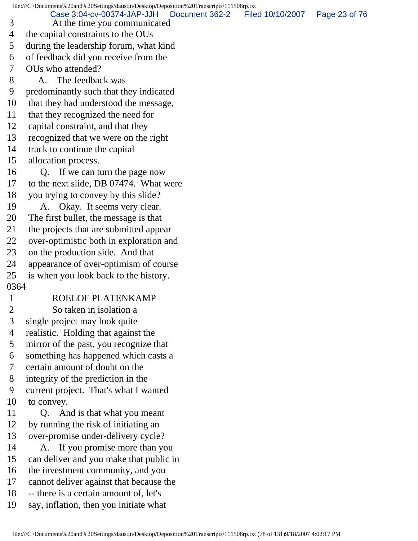file:///C|/Documents%20and%20Settings/daustin/Desktop/Deposition%20Transcripts/111506rp.txt 3 At the time you communicated 4 the capital constraints to the OUs 5 during the leadership forum, what kind 6 of feedback did you receive from the 7 OUs who attended? 8 A. The feedback was 9 predominantly such that they indicated 10 that they had understood the message, 11 that they recognized the need for 12 capital constraint, and that they 13 recognized that we were on the right 14 track to continue the capital 15 allocation process. 16 Q. If we can turn the page now 17 to the next slide, DB 07474. What were 18 you trying to convey by this slide? 19 A. Okay. It seems very clear. 20 The first bullet, the message is that 21 the projects that are submitted appear 22 over-optimistic both in exploration and 23 on the production side. And that 24 appearance of over-optimism of course 25 is when you look back to the history. 0364 1 ROELOF PLATENKAMP 2 So taken in isolation a 3 single project may look quite 4 realistic. Holding that against the 5 mirror of the past, you recognize that 6 something has happened which casts a 7 certain amount of doubt on the 8 integrity of the prediction in the 9 current project. That's what I wanted 10 to convey. 11 Q. And is that what you meant 12 by running the risk of initiating an 13 over-promise under-delivery cycle? 14 A. If you promise more than you 15 can deliver and you make that public in 16 the investment community, and you 17 cannot deliver against that because the 18 -- there is a certain amount of, let's 19 say, inflation, then you initiate what Case 3:04-cv-00374-JAP-JJH Document 362-2 Filed 10/10/2007 Page 23 of 76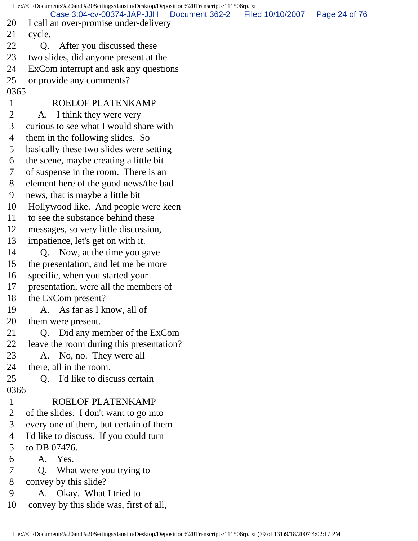file:///C|/Documents%20and%20Settings/daustin/Desktop/Deposition%20Transcripts/111506rp.txt 20 I call an over-promise under-delivery 21 cycle. 22 O. After you discussed these 23 two slides, did anyone present at the 24 ExCom interrupt and ask any questions 25 or provide any comments? 0365 1 ROELOF PLATENKAMP 2 A. I think they were very 3 curious to see what I would share with 4 them in the following slides. So 5 basically these two slides were setting 6 the scene, maybe creating a little bit 7 of suspense in the room. There is an 8 element here of the good news/the bad 9 news, that is maybe a little bit 10 Hollywood like. And people were keen 11 to see the substance behind these 12 messages, so very little discussion, 13 impatience, let's get on with it. 14 Q. Now, at the time you gave 15 the presentation, and let me be more 16 specific, when you started your 17 presentation, were all the members of 18 the ExCom present? 19 A. As far as I know, all of 20 them were present. 21 Q. Did any member of the ExCom 22 leave the room during this presentation? 23 A. No, no. They were all 24 there, all in the room. 25 Q. I'd like to discuss certain 0366 1 ROELOF PLATENKAMP 2 of the slides. I don't want to go into 3 every one of them, but certain of them 4 I'd like to discuss. If you could turn 5 to DB 07476. 6 A. Yes. 7 Q. What were you trying to 8 convey by this slide? 9 A. Okay. What I tried to 10 convey by this slide was, first of all, Case 3:04-cv-00374-JAP-JJH Document 362-2 Filed 10/10/2007 Page 24 of 76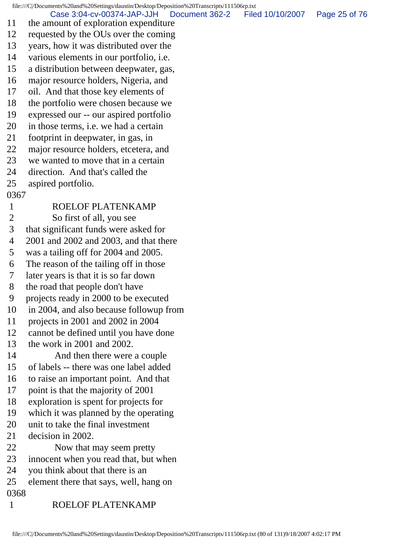file:///C|/Documents%20and%20Settings/daustin/Desktop/Deposition%20Transcripts/111506rp.txt 11 the amount of exploration expenditure 12 requested by the OUs over the coming 13 years, how it was distributed over the 14 various elements in our portfolio, i.e. 15 a distribution between deepwater, gas, 16 major resource holders, Nigeria, and 17 oil. And that those key elements of 18 the portfolio were chosen because we 19 expressed our -- our aspired portfolio 20 in those terms, i.e. we had a certain 21 footprint in deepwater, in gas, in 22 major resource holders, etcetera, and 23 we wanted to move that in a certain 24 direction. And that's called the 25 aspired portfolio. 0367 1 ROELOF PLATENKAMP 2 So first of all, you see 3 that significant funds were asked for 4 2001 and 2002 and 2003, and that there 5 was a tailing off for 2004 and 2005. 6 The reason of the tailing off in those 7 later years is that it is so far down 8 the road that people don't have 9 projects ready in 2000 to be executed 10 in 2004, and also because followup from 11 projects in 2001 and 2002 in 2004 12 cannot be defined until you have done 13 the work in 2001 and 2002. 14 And then there were a couple 15 of labels -- there was one label added 16 to raise an important point. And that 17 point is that the majority of 2001 18 exploration is spent for projects for 19 which it was planned by the operating Case 3:04-cv-00374-JAP-JJH Document 362-2 Filed 10/10/2007 Page 25 of 76

- 20 unit to take the final investment
- 21 decision in 2002.
- 22 Now that may seem pretty
- 23 innocent when you read that, but when
- 24 you think about that there is an
- 25 element there that says, well, hang on
- 0368
- 1 ROELOF PLATENKAMP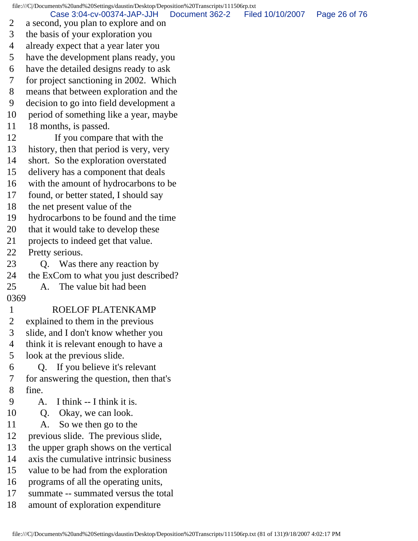file:///C|/Documents%20and%20Settings/daustin/Desktop/Deposition%20Transcripts/111506rp.txt 2 a second, you plan to explore and on 3 the basis of your exploration you 4 already expect that a year later you 5 have the development plans ready, you 6 have the detailed designs ready to ask 7 for project sanctioning in 2002. Which 8 means that between exploration and the 9 decision to go into field development a 10 period of something like a year, maybe 11 18 months, is passed. 12 If you compare that with the 13 history, then that period is very, very 14 short. So the exploration overstated 15 delivery has a component that deals 16 with the amount of hydrocarbons to be 17 found, or better stated, I should say 18 the net present value of the 19 hydrocarbons to be found and the time 20 that it would take to develop these 21 projects to indeed get that value. 22 Pretty serious. 23 Q. Was there any reaction by 24 the ExCom to what you just described? 25 A. The value bit had been 0369 1 ROELOF PLATENKAMP 2 explained to them in the previous 3 slide, and I don't know whether you 4 think it is relevant enough to have a 5 look at the previous slide. 6 Q. If you believe it's relevant 7 for answering the question, then that's 8 fine. 9 A. I think -- I think it is. 10 Q. Okay, we can look. 11 A. So we then go to the 12 previous slide. The previous slide, 13 the upper graph shows on the vertical 14 axis the cumulative intrinsic business 15 value to be had from the exploration 16 programs of all the operating units, 17 summate -- summated versus the total 18 amount of exploration expenditure Case 3:04-cv-00374-JAP-JJH Document 362-2 Filed 10/10/2007 Page 26 of 76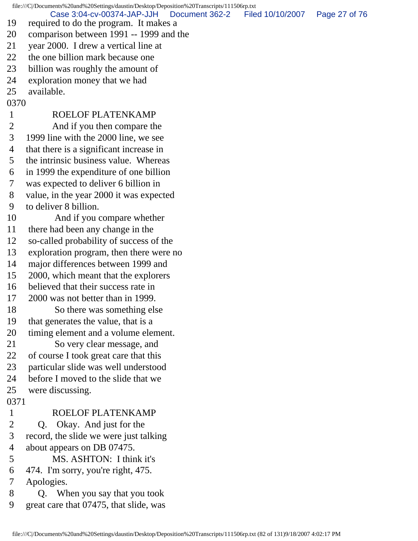file:///C|/Documents%20and%20Settings/daustin/Desktop/Deposition%20Transcripts/111506rp.txt 19 required to do the program. It makes a 20 comparison between 1991 -- 1999 and the 21 year 2000. I drew a vertical line at 22 the one billion mark because one 23 billion was roughly the amount of 24 exploration money that we had 25 available. 0370 1 ROELOF PLATENKAMP 2 And if you then compare the 3 1999 line with the 2000 line, we see 4 that there is a significant increase in 5 the intrinsic business value. Whereas 6 in 1999 the expenditure of one billion 7 was expected to deliver 6 billion in 8 value, in the year 2000 it was expected 9 to deliver 8 billion. 10 And if you compare whether 11 there had been any change in the 12 so-called probability of success of the 13 exploration program, then there were no 14 major differences between 1999 and 15 2000, which meant that the explorers 16 believed that their success rate in 17 2000 was not better than in 1999. 18 So there was something else 19 that generates the value, that is a 20 timing element and a volume element. 21 So very clear message, and 22 of course I took great care that this 23 particular slide was well understood 24 before I moved to the slide that we 25 were discussing. 0371 1 ROELOF PLATENKAMP 2 Q. Okay. And just for the 3 record, the slide we were just talking 4 about appears on DB 07475. 5 MS. ASHTON: I think it's 6 474. I'm sorry, you're right, 475. 7 Apologies. 8 Q. When you say that you took 9 great care that 07475, that slide, was Case 3:04-cv-00374-JAP-JJH Document 362-2 Filed 10/10/2007 Page 27 of 76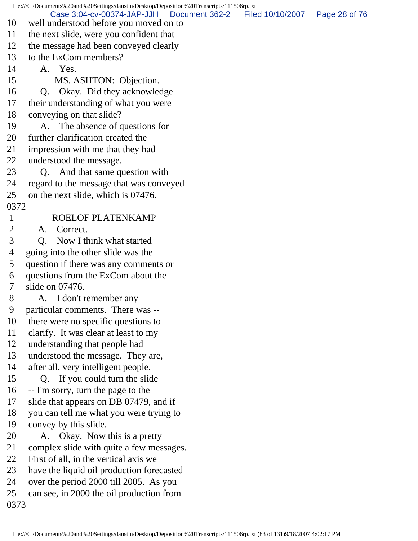file:///C|/Documents%20and%20Settings/daustin/Desktop/Deposition%20Transcripts/111506rp.txt 10 well understood before you moved on to 11 the next slide, were you confident that 12 the message had been conveyed clearly 13 to the ExCom members? 14 A. Yes. 15 MS. ASHTON: Objection. 16 Q. Okay. Did they acknowledge 17 their understanding of what you were 18 conveying on that slide? 19 A. The absence of questions for 20 further clarification created the 21 impression with me that they had 22 understood the message. 23 Q. And that same question with 24 regard to the message that was conveyed 25 on the next slide, which is 07476. 0372 1 ROELOF PLATENKAMP 2 A. Correct. 3 Q. Now I think what started 4 going into the other slide was the 5 question if there was any comments or 6 questions from the ExCom about the 7 slide on 07476. 8 A. I don't remember any 9 particular comments. There was -- 10 there were no specific questions to 11 clarify. It was clear at least to my 12 understanding that people had 13 understood the message. They are, 14 after all, very intelligent people. 15 Q. If you could turn the slide 16 -- I'm sorry, turn the page to the 17 slide that appears on DB 07479, and if 18 you can tell me what you were trying to 19 convey by this slide. 20 A. Okay. Now this is a pretty 21 complex slide with quite a few messages. 22 First of all, in the vertical axis we 23 have the liquid oil production forecasted 24 over the period 2000 till 2005. As you 25 can see, in 2000 the oil production from 0373 Case 3:04-cv-00374-JAP-JJH Document 362-2 Filed 10/10/2007 Page 28 of 76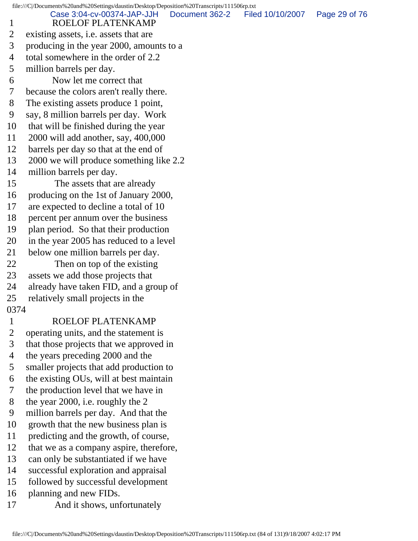file:///C|/Documents%20and%20Settings/daustin/Desktop/Deposition%20Transcripts/111506rp.txt 1 ROELOF PLATENKAMP 2 existing assets, i.e. assets that are 3 producing in the year 2000, amounts to a 4 total somewhere in the order of 2.2 5 million barrels per day. 6 Now let me correct that 7 because the colors aren't really there. 8 The existing assets produce 1 point, 9 say, 8 million barrels per day. Work 10 that will be finished during the year 11 2000 will add another, say, 400,000 12 barrels per day so that at the end of 13 2000 we will produce something like 2.2 14 million barrels per day. 15 The assets that are already 16 producing on the 1st of January 2000, 17 are expected to decline a total of 10 18 percent per annum over the business 19 plan period. So that their production 20 in the year 2005 has reduced to a level 21 below one million barrels per day. 22 Then on top of the existing 23 assets we add those projects that 24 already have taken FID, and a group of 25 relatively small projects in the 0374 1 ROELOF PLATENKAMP 2 operating units, and the statement is 3 that those projects that we approved in 4 the years preceding 2000 and the 5 smaller projects that add production to 6 the existing OUs, will at best maintain 7 the production level that we have in 8 the year 2000, i.e. roughly the 2 9 million barrels per day. And that the 10 growth that the new business plan is 11 predicting and the growth, of course, 12 that we as a company aspire, therefore, 13 can only be substantiated if we have Case 3:04-cv-00374-JAP-JJH Document 362-2 Filed 10/10/2007 Page 29 of 76

- 14 successful exploration and appraisal
- 15 followed by successful development
- 16 planning and new FIDs.
- 17 And it shows, unfortunately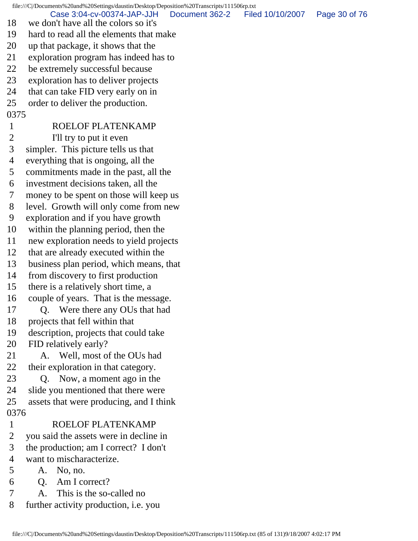file:///C|/Documents%20and%20Settings/daustin/Desktop/Deposition%20Transcripts/111506rp.txt 18 we don't have all the colors so it's 19 hard to read all the elements that make 20 up that package, it shows that the 21 exploration program has indeed has to 22 be extremely successful because 23 exploration has to deliver projects 24 that can take FID very early on in 25 order to deliver the production. 0375 1 ROELOF PLATENKAMP 2 I'll try to put it even 3 simpler. This picture tells us that 4 everything that is ongoing, all the 5 commitments made in the past, all the 6 investment decisions taken, all the 7 money to be spent on those will keep us 8 level. Growth will only come from new 9 exploration and if you have growth 10 within the planning period, then the 11 new exploration needs to yield projects 12 that are already executed within the 13 business plan period, which means, that 14 from discovery to first production 15 there is a relatively short time, a 16 couple of years. That is the message. 17 Q. Were there any OUs that had 18 projects that fell within that 19 description, projects that could take 20 FID relatively early? 21 A. Well, most of the OUs had 22 their exploration in that category. 23 Q. Now, a moment ago in the 24 slide you mentioned that there were 25 assets that were producing, and I think 0376 1 ROELOF PLATENKAMP 2 you said the assets were in decline in 3 the production; am I correct? I don't 4 want to mischaracterize. 5 A. No, no. 6 Q. Am I correct? 7 A. This is the so-called no 8 further activity production, i.e. you Case 3:04-cv-00374-JAP-JJH Document 362-2 Filed 10/10/2007 Page 30 of 76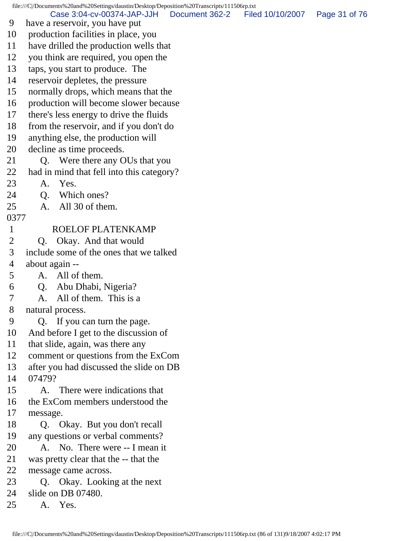file:///C|/Documents%20and%20Settings/daustin/Desktop/Deposition%20Transcripts/111506rp.txt 9 have a reservoir, you have put 10 production facilities in place, you 11 have drilled the production wells that 12 you think are required, you open the 13 taps, you start to produce. The 14 reservoir depletes, the pressure 15 normally drops, which means that the 16 production will become slower because 17 there's less energy to drive the fluids 18 from the reservoir, and if you don't do 19 anything else, the production will 20 decline as time proceeds. 21 Q. Were there any OUs that you 22 had in mind that fell into this category? 23 A. Yes. 24 Q. Which ones? 25 A. All 30 of them. 0377 1 ROELOF PLATENKAMP 2 O. Okay. And that would 3 include some of the ones that we talked 4 about again -- 5 A. All of them. 6 Q. Abu Dhabi, Nigeria? 7 A. All of them. This is a 8 natural process. 9 Q. If you can turn the page. 10 And before I get to the discussion of 11 that slide, again, was there any 12 comment or questions from the ExCom 13 after you had discussed the slide on DB 14 07479? 15 A. There were indications that 16 the ExCom members understood the 17 message. 18 Q. Okay. But you don't recall 19 any questions or verbal comments? 20 A. No. There were -- I mean it 21 was pretty clear that the -- that the 22 message came across. 23 Q. Okay. Looking at the next 24 slide on DB 07480. 25 A. Yes. Case 3:04-cv-00374-JAP-JJH Document 362-2 Filed 10/10/2007 Page 31 of 76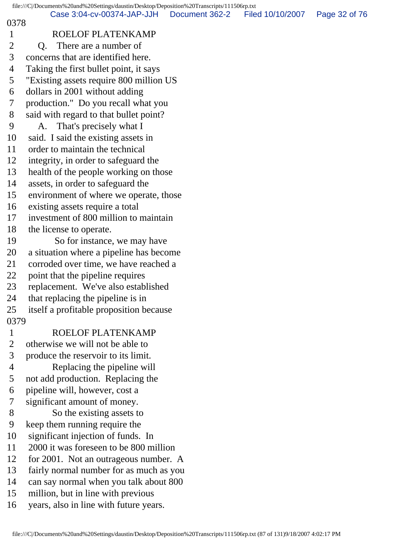|                | file:///C /Documents%20and%20Settings/daustin/Desktop/Deposition%20Transcripts/111506rp.txt |                |                  |               |
|----------------|---------------------------------------------------------------------------------------------|----------------|------------------|---------------|
| 0378           | Case 3:04-cv-00374-JAP-JJH                                                                  | Document 362-2 | Filed 10/10/2007 | Page 32 of 76 |
| $\mathbf{1}$   | ROELOF PLATENKAMP                                                                           |                |                  |               |
| $\overline{2}$ | There are a number of<br>Q.                                                                 |                |                  |               |
| 3              | concerns that are identified here.                                                          |                |                  |               |
| $\overline{4}$ | Taking the first bullet point, it says                                                      |                |                  |               |
| 5              | "Existing assets require 800 million US                                                     |                |                  |               |
| 6              | dollars in 2001 without adding                                                              |                |                  |               |
| 7              | production." Do you recall what you                                                         |                |                  |               |
| 8              | said with regard to that bullet point?                                                      |                |                  |               |
| 9              | That's precisely what I<br>A.                                                               |                |                  |               |
| 10             | said. I said the existing assets in                                                         |                |                  |               |
| 11             | order to maintain the technical                                                             |                |                  |               |
| 12             | integrity, in order to safeguard the                                                        |                |                  |               |
| 13             | health of the people working on those                                                       |                |                  |               |
| 14             | assets, in order to safeguard the                                                           |                |                  |               |
| 15             | environment of where we operate, those                                                      |                |                  |               |
| 16             | existing assets require a total                                                             |                |                  |               |
| 17             | investment of 800 million to maintain                                                       |                |                  |               |
| 18             | the license to operate.                                                                     |                |                  |               |
| 19             | So for instance, we may have                                                                |                |                  |               |
| 20             | a situation where a pipeline has become                                                     |                |                  |               |
| 21             | corroded over time, we have reached a                                                       |                |                  |               |
| 22             | point that the pipeline requires                                                            |                |                  |               |
| 23             | replacement. We've also established                                                         |                |                  |               |
| 24             | that replacing the pipeline is in                                                           |                |                  |               |
| 25             | itself a profitable proposition because                                                     |                |                  |               |
| 0379           |                                                                                             |                |                  |               |
| $\mathbf{1}$   | ROELOF PLATENKAMP                                                                           |                |                  |               |
| $\overline{2}$ | otherwise we will not be able to                                                            |                |                  |               |
| 3              | produce the reservoir to its limit.                                                         |                |                  |               |
| $\overline{4}$ | Replacing the pipeline will                                                                 |                |                  |               |
| 5              | not add production. Replacing the                                                           |                |                  |               |
| 6              | pipeline will, however, cost a                                                              |                |                  |               |
| 7              | significant amount of money.                                                                |                |                  |               |
| 8              | So the existing assets to                                                                   |                |                  |               |
| 9              | keep them running require the                                                               |                |                  |               |
| 10             | significant injection of funds. In                                                          |                |                  |               |
| 11             | 2000 it was foreseen to be 800 million                                                      |                |                  |               |
| 12             | for 2001. Not an outrageous number. A                                                       |                |                  |               |
| 13             | fairly normal number for as much as you                                                     |                |                  |               |
| 14             | can say normal when you talk about 800                                                      |                |                  |               |
| 15             | million, but in line with previous                                                          |                |                  |               |
| 16             | years, also in line with future years.                                                      |                |                  |               |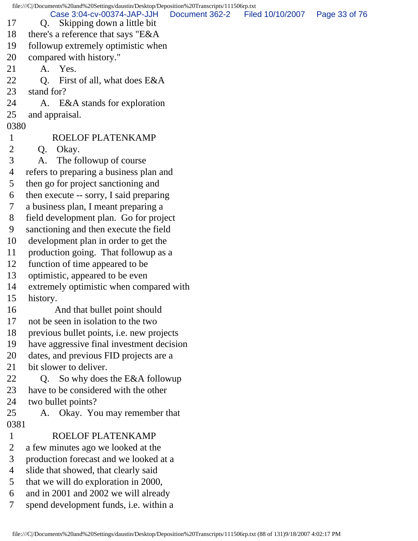file:///C|/Documents%20and%20Settings/daustin/Desktop/Deposition%20Transcripts/111506rp.txt 17 Q. Skipping down a little bit 18 there's a reference that says "E&A 19 followup extremely optimistic when 20 compared with history." 21 A. Yes. 22 Q. First of all, what does E&A 23 stand for? 24 A. E&A stands for exploration 25 and appraisal. 0380 1 ROELOF PLATENKAMP 2 Q. Okay. 3 A. The followup of course 4 refers to preparing a business plan and 5 then go for project sanctioning and 6 then execute -- sorry, I said preparing 7 a business plan, I meant preparing a 8 field development plan. Go for project 9 sanctioning and then execute the field 10 development plan in order to get the 11 production going. That followup as a 12 function of time appeared to be 13 optimistic, appeared to be even 14 extremely optimistic when compared with 15 history. 16 And that bullet point should 17 not be seen in isolation to the two 18 previous bullet points, i.e. new projects 19 have aggressive final investment decision 20 dates, and previous FID projects are a 21 bit slower to deliver. 22 Q. So why does the E&A followup 23 have to be considered with the other 24 two bullet points? 25 A. Okay. You may remember that 0381 1 ROELOF PLATENKAMP 2 a few minutes ago we looked at the 3 production forecast and we looked at a 4 slide that showed, that clearly said 5 that we will do exploration in 2000, 6 and in 2001 and 2002 we will already 7 spend development funds, i.e. within a Case 3:04-cv-00374-JAP-JJH Document 362-2 Filed 10/10/2007 Page 33 of 76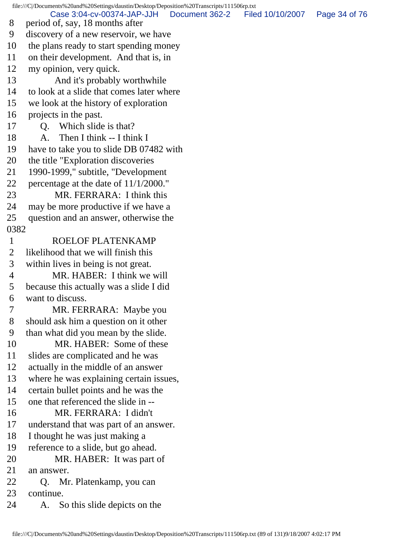file:///C|/Documents%20and%20Settings/daustin/Desktop/Deposition%20Transcripts/111506rp.txt 8 period of, say, 18 months after 9 discovery of a new reservoir, we have 10 the plans ready to start spending money 11 on their development. And that is, in 12 my opinion, very quick. 13 And it's probably worthwhile 14 to look at a slide that comes later where 15 we look at the history of exploration 16 projects in the past. 17 Q. Which slide is that? 18 A. Then I think -- I think I 19 have to take you to slide DB 07482 with 20 the title "Exploration discoveries 21 1990-1999," subtitle, "Development 22 percentage at the date of 11/1/2000." 23 MR. FERRARA: I think this 24 may be more productive if we have a 25 question and an answer, otherwise the 0382 1 ROELOF PLATENKAMP 2 likelihood that we will finish this 3 within lives in being is not great. 4 MR. HABER: I think we will 5 because this actually was a slide I did 6 want to discuss. 7 MR. FERRARA: Maybe you 8 should ask him a question on it other 9 than what did you mean by the slide. 10 MR. HABER: Some of these 11 slides are complicated and he was 12 actually in the middle of an answer 13 where he was explaining certain issues, 14 certain bullet points and he was the 15 one that referenced the slide in -- 16 MR. FERRARA: I didn't 17 understand that was part of an answer. 18 I thought he was just making a 19 reference to a slide, but go ahead. 20 MR. HABER: It was part of 21 an answer. 22 Q. Mr. Platenkamp, you can 23 continue. 24 A. So this slide depicts on the Case 3:04-cv-00374-JAP-JJH Document 362-2 Filed 10/10/2007 Page 34 of 76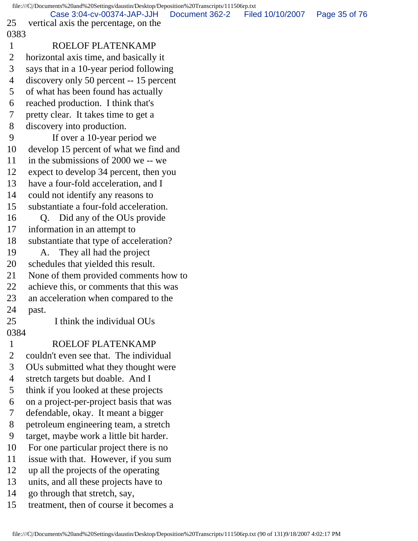file:///C|/Documents%20and%20Settings/daustin/Desktop/Deposition%20Transcripts/111506rp.txt 25 vertical axis the percentage, on the 0383 1 ROELOF PLATENKAMP 2 horizontal axis time, and basically it 3 says that in a 10-year period following 4 discovery only 50 percent -- 15 percent 5 of what has been found has actually 6 reached production. I think that's 7 pretty clear. It takes time to get a 8 discovery into production. 9 If over a 10-year period we 10 develop 15 percent of what we find and 11 in the submissions of 2000 we -- we 12 expect to develop 34 percent, then you 13 have a four-fold acceleration, and I 14 could not identify any reasons to 15 substantiate a four-fold acceleration. 16 O. Did any of the OUs provide 17 information in an attempt to 18 substantiate that type of acceleration? 19 A. They all had the project 20 schedules that yielded this result. 21 None of them provided comments how to 22 achieve this, or comments that this was 23 an acceleration when compared to the 24 past. 25 I think the individual OUs 0384 1 ROELOF PLATENKAMP 2 couldn't even see that. The individual 3 OUs submitted what they thought were 4 stretch targets but doable. And I 5 think if you looked at these projects 6 on a project-per-project basis that was 7 defendable, okay. It meant a bigger 8 petroleum engineering team, a stretch 9 target, maybe work a little bit harder. 10 For one particular project there is no 11 issue with that. However, if you sum 12 up all the projects of the operating 13 units, and all these projects have to 14 go through that stretch, say, 15 treatment, then of course it becomes a Case 3:04-cv-00374-JAP-JJH Document 362-2 Filed 10/10/2007 Page 35 of 76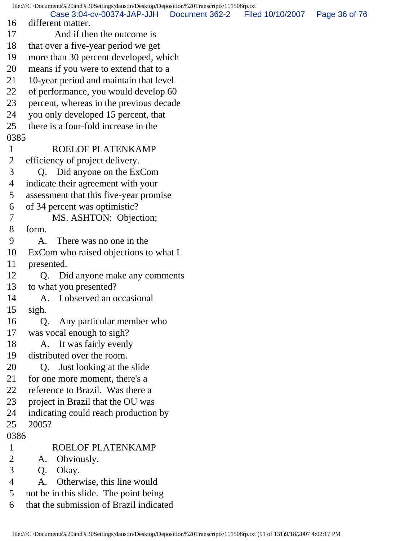file:///C|/Documents%20and%20Settings/daustin/Desktop/Deposition%20Transcripts/111506rp.txt 16 different matter. 17 And if then the outcome is 18 that over a five-year period we get 19 more than 30 percent developed, which 20 means if you were to extend that to a 21 10-year period and maintain that level 22 of performance, you would develop 60 23 percent, whereas in the previous decade 24 you only developed 15 percent, that 25 there is a four-fold increase in the 0385 1 ROELOF PLATENKAMP 2 efficiency of project delivery. 3 Q. Did anyone on the ExCom 4 indicate their agreement with your 5 assessment that this five-year promise 6 of 34 percent was optimistic? 7 MS. ASHTON: Objection; 8 form. 9 A. There was no one in the 10 ExCom who raised objections to what I 11 presented. 12 Q. Did anyone make any comments 13 to what you presented? 14 A. I observed an occasional 15 sigh. 16 Q. Any particular member who 17 was vocal enough to sigh? 18 A. It was fairly evenly 19 distributed over the room. 20 Q. Just looking at the slide 21 for one more moment, there's a 22 reference to Brazil. Was there a 23 project in Brazil that the OU was 24 indicating could reach production by 25 2005? 0386 1 ROELOF PLATENKAMP 2 A. Obviously. 3 Q. Okay. 4 A. Otherwise, this line would 5 not be in this slide. The point being 6 that the submission of Brazil indicated Case 3:04-cv-00374-JAP-JJH Document 362-2 Filed 10/10/2007 Page 36 of 76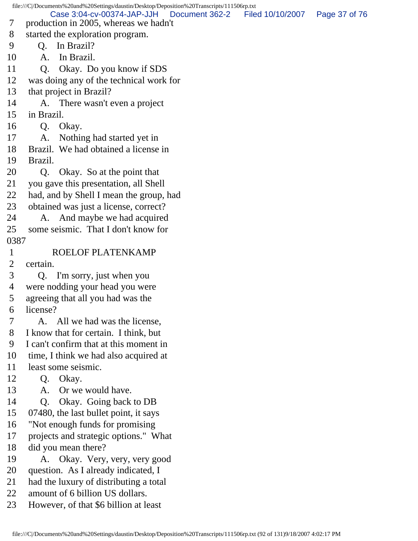file:///C|/Documents%20and%20Settings/daustin/Desktop/Deposition%20Transcripts/111506rp.txt 7 production in 2005, whereas we hadn't 8 started the exploration program. 9 Q. In Brazil? 10 A. In Brazil. 11 Q. Okay. Do you know if SDS 12 was doing any of the technical work for 13 that project in Brazil? 14 A. There wasn't even a project 15 in Brazil. 16 Q. Okay. 17 A. Nothing had started yet in 18 Brazil. We had obtained a license in 19 Brazil. 20 Q. Okay. So at the point that 21 you gave this presentation, all Shell 22 had, and by Shell I mean the group, had 23 obtained was just a license, correct? 24 A. And maybe we had acquired 25 some seismic. That I don't know for 0387 1 ROELOF PLATENKAMP 2 certain. 3 Q. I'm sorry, just when you 4 were nodding your head you were 5 agreeing that all you had was the 6 license? 7 A. All we had was the license, 8 I know that for certain. I think, but 9 I can't confirm that at this moment in 10 time, I think we had also acquired at 11 least some seismic. 12 Q. Okay. 13 A. Or we would have. 14 Q. Okay. Going back to DB 15 07480, the last bullet point, it says 16 "Not enough funds for promising 17 projects and strategic options." What 18 did you mean there? 19 A. Okay. Very, very, very good 20 question. As I already indicated, I 21 had the luxury of distributing a total 22 amount of 6 billion US dollars. 23 However, of that \$6 billion at least Case 3:04-cv-00374-JAP-JJH Document 362-2 Filed 10/10/2007 Page 37 of 76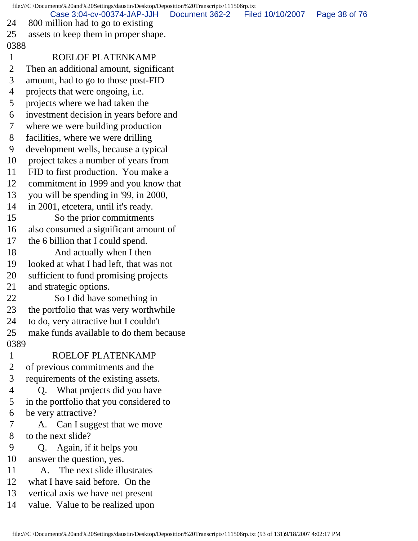file:///C|/Documents%20and%20Settings/daustin/Desktop/Deposition%20Transcripts/111506rp.txt 24 800 million had to go to existing 25 assets to keep them in proper shape. 0388 1 ROELOF PLATENKAMP 2 Then an additional amount, significant 3 amount, had to go to those post-FID 4 projects that were ongoing, i.e. 5 projects where we had taken the 6 investment decision in years before and 7 where we were building production 8 facilities, where we were drilling 9 development wells, because a typical 10 project takes a number of years from 11 FID to first production. You make a 12 commitment in 1999 and you know that 13 you will be spending in '99, in 2000, 14 in 2001, etcetera, until it's ready. 15 So the prior commitments 16 also consumed a significant amount of 17 the 6 billion that I could spend. 18 And actually when I then 19 looked at what I had left, that was not 20 sufficient to fund promising projects 21 and strategic options. 22 So I did have something in 23 the portfolio that was very worthwhile 24 to do, very attractive but I couldn't 25 make funds available to do them because 0389 1 ROELOF PLATENKAMP 2 of previous commitments and the 3 requirements of the existing assets. 4 Q. What projects did you have 5 in the portfolio that you considered to 6 be very attractive? 7 A. Can I suggest that we move 8 to the next slide? 9 Q. Again, if it helps you 10 answer the question, yes. 11 A. The next slide illustrates 12 what I have said before. On the 13 vertical axis we have net present 14 value. Value to be realized upon Case 3:04-cv-00374-JAP-JJH Document 362-2 Filed 10/10/2007 Page 38 of 76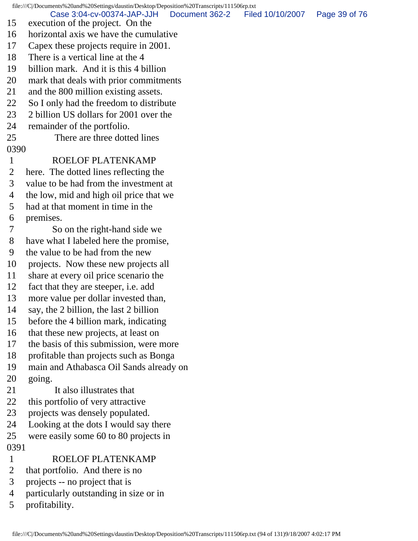file:///C|/Documents%20and%20Settings/daustin/Desktop/Deposition%20Transcripts/111506rp.txt 15 execution of the project. On the 16 horizontal axis we have the cumulative 17 Capex these projects require in 2001. 18 There is a vertical line at the 4 19 billion mark. And it is this 4 billion 20 mark that deals with prior commitments 21 and the 800 million existing assets. 22 So I only had the freedom to distribute 23 2 billion US dollars for 2001 over the 24 remainder of the portfolio. 25 There are three dotted lines 0390 1 ROELOF PLATENKAMP 2 here. The dotted lines reflecting the 3 value to be had from the investment at 4 the low, mid and high oil price that we 5 had at that moment in time in the 6 premises. 7 So on the right-hand side we 8 have what I labeled here the promise, 9 the value to be had from the new 10 projects. Now these new projects all 11 share at every oil price scenario the 12 fact that they are steeper, i.e. add 13 more value per dollar invested than, 14 say, the 2 billion, the last 2 billion 15 before the 4 billion mark, indicating 16 that these new projects, at least on 17 the basis of this submission, were more 18 profitable than projects such as Bonga 19 main and Athabasca Oil Sands already on 20 going. 21 It also illustrates that 22 this portfolio of very attractive 23 projects was densely populated. 24 Looking at the dots I would say there 25 were easily some 60 to 80 projects in 0391 1 ROELOF PLATENKAMP 2 that portfolio. And there is no 3 projects -- no project that is 4 particularly outstanding in size or in 5 profitability. Case 3:04-cv-00374-JAP-JJH Document 362-2 Filed 10/10/2007 Page 39 of 76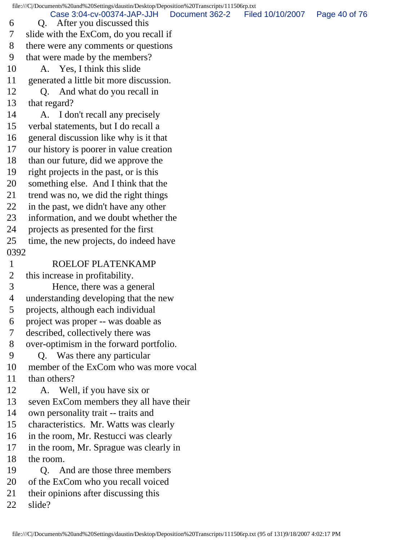file:///C|/Documents%20and%20Settings/daustin/Desktop/Deposition%20Transcripts/111506rp.txt 6 Q. After you discussed this 7 slide with the ExCom, do you recall if 8 there were any comments or questions 9 that were made by the members? 10 A. Yes, I think this slide 11 generated a little bit more discussion. 12 Q. And what do you recall in 13 that regard? 14 A. I don't recall any precisely 15 verbal statements, but I do recall a 16 general discussion like why is it that 17 our history is poorer in value creation 18 than our future, did we approve the 19 right projects in the past, or is this 20 something else. And I think that the 21 trend was no, we did the right things 22 in the past, we didn't have any other 23 information, and we doubt whether the 24 projects as presented for the first 25 time, the new projects, do indeed have 0392 1 ROELOF PLATENKAMP 2 this increase in profitability. 3 Hence, there was a general 4 understanding developing that the new 5 projects, although each individual 6 project was proper -- was doable as 7 described, collectively there was 8 over-optimism in the forward portfolio. 9 Q. Was there any particular 10 member of the ExCom who was more vocal 11 than others? 12 A. Well, if you have six or 13 seven ExCom members they all have their 14 own personality trait -- traits and 15 characteristics. Mr. Watts was clearly 16 in the room, Mr. Restucci was clearly 17 in the room, Mr. Sprague was clearly in 18 the room. 19 Q. And are those three members 20 of the ExCom who you recall voiced 21 their opinions after discussing this 22 slide? Case 3:04-cv-00374-JAP-JJH Document 362-2 Filed 10/10/2007 Page 40 of 76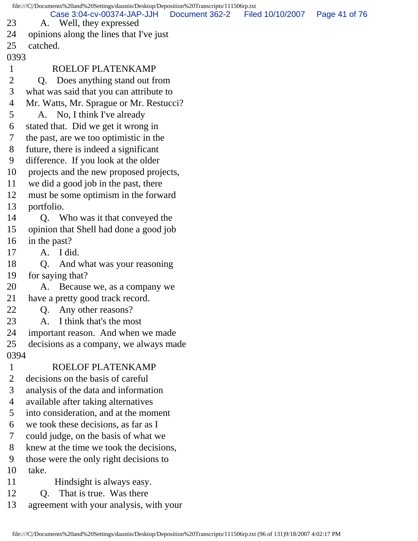file:///C|/Documents%20and%20Settings/daustin/Desktop/Deposition%20Transcripts/111506rp.txt 23 A. Well, they expressed 24 opinions along the lines that I've just 25 catched. 0393 1 ROELOF PLATENKAMP 2 Q. Does anything stand out from 3 what was said that you can attribute to 4 Mr. Watts, Mr. Sprague or Mr. Restucci? 5 A. No, I think I've already 6 stated that. Did we get it wrong in 7 the past, are we too optimistic in the 8 future, there is indeed a significant 9 difference. If you look at the older 10 projects and the new proposed projects, 11 we did a good job in the past, there 12 must be some optimism in the forward 13 portfolio. 14 Q. Who was it that conveyed the 15 opinion that Shell had done a good job 16 in the past? 17 A. I did. 18 Q. And what was your reasoning 19 for saying that? 20 A. Because we, as a company we 21 have a pretty good track record. 22 Q. Any other reasons? 23 A. I think that's the most 24 important reason. And when we made 25 decisions as a company, we always made 0394 1 ROELOF PLATENKAMP 2 decisions on the basis of careful 3 analysis of the data and information 4 available after taking alternatives 5 into consideration, and at the moment 6 we took these decisions, as far as I 7 could judge, on the basis of what we 8 knew at the time we took the decisions, 9 those were the only right decisions to 10 take. 11 Hindsight is always easy. Case 3:04-cv-00374-JAP-JJH Document 362-2 Filed 10/10/2007 Page 41 of 76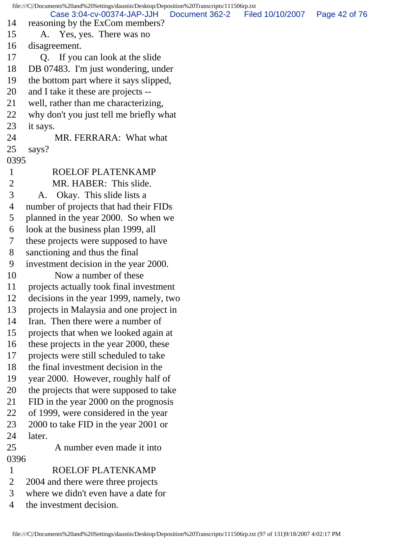file:///C|/Documents%20and%20Settings/daustin/Desktop/Deposition%20Transcripts/111506rp.txt 14 reasoning by the ExCom members? 15 A. Yes, yes. There was no 16 disagreement. 17 Q. If you can look at the slide 18 DB 07483. I'm just wondering, under 19 the bottom part where it says slipped, 20 and I take it these are projects -- 21 well, rather than me characterizing, 22 why don't you just tell me briefly what 23 it says. 24 MR. FERRARA: What what 25 says? 0395 1 ROELOF PLATENKAMP 2 MR. HABER: This slide. 3 A. Okay. This slide lists a 4 number of projects that had their FIDs 5 planned in the year 2000. So when we 6 look at the business plan 1999, all 7 these projects were supposed to have 8 sanctioning and thus the final 9 investment decision in the year 2000. 10 Now a number of these 11 projects actually took final investment 12 decisions in the year 1999, namely, two 13 projects in Malaysia and one project in 14 Iran. Then there were a number of 15 projects that when we looked again at 16 these projects in the year 2000, these 17 projects were still scheduled to take 18 the final investment decision in the 19 year 2000. However, roughly half of 20 the projects that were supposed to take 21 FID in the year 2000 on the prognosis 22 of 1999, were considered in the year 23 2000 to take FID in the year 2001 or 24 later. 25 A number even made it into 0396 1 ROELOF PLATENKAMP 2 2004 and there were three projects 3 where we didn't even have a date for 4 the investment decision. Case 3:04-cv-00374-JAP-JJH Document 362-2 Filed 10/10/2007 Page 42 of 76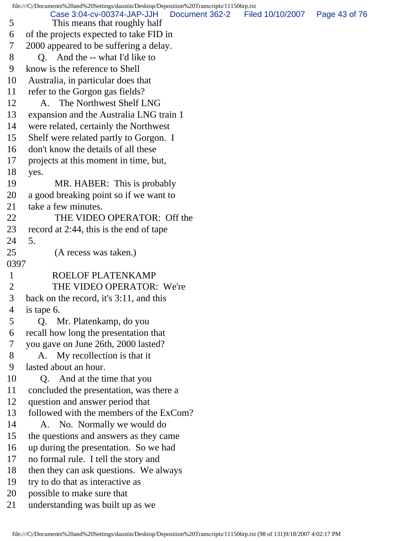file:///C|/Documents%20and%20Settings/daustin/Desktop/Deposition%20Transcripts/111506rp.txt 5 This means that roughly half 6 of the projects expected to take FID in 7 2000 appeared to be suffering a delay. 8 Q. And the -- what I'd like to 9 know is the reference to Shell 10 Australia, in particular does that 11 refer to the Gorgon gas fields? 12 A. The Northwest Shelf LNG 13 expansion and the Australia LNG train 1 14 were related, certainly the Northwest 15 Shelf were related partly to Gorgon. I 16 don't know the details of all these 17 projects at this moment in time, but, 18 yes. 19 MR. HABER: This is probably 20 a good breaking point so if we want to 21 take a few minutes. 22 THE VIDEO OPERATOR: Off the 23 record at 2:44, this is the end of tape 24 5. 25 (A recess was taken.) 0397 1 ROELOF PLATENKAMP 2 THE VIDEO OPERATOR: We're 3 back on the record, it's 3:11, and this 4 is tape 6. 5 Q. Mr. Platenkamp, do you 6 recall how long the presentation that 7 you gave on June 26th, 2000 lasted? 8 A. My recollection is that it 9 lasted about an hour. 10 Q. And at the time that you 11 concluded the presentation, was there a 12 question and answer period that 13 followed with the members of the ExCom? 14 A. No. Normally we would do 15 the questions and answers as they came 16 up during the presentation. So we had 17 no formal rule. I tell the story and 18 then they can ask questions. We always 19 try to do that as interactive as 20 possible to make sure that 21 understanding was built up as we Case 3:04-cv-00374-JAP-JJH Document 362-2 Filed 10/10/2007 Page 43 of 76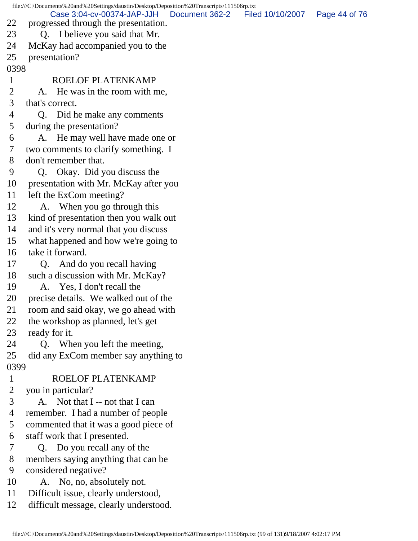file:///C|/Documents%20and%20Settings/daustin/Desktop/Deposition%20Transcripts/111506rp.txt 22 progressed through the presentation. 23 Q. I believe you said that Mr. 24 McKay had accompanied you to the 25 presentation? 0398 1 ROELOF PLATENKAMP 2 A. He was in the room with me, 3 that's correct. 4 Q. Did he make any comments 5 during the presentation? 6 A. He may well have made one or 7 two comments to clarify something. I 8 don't remember that. 9 Q. Okay. Did you discuss the 10 presentation with Mr. McKay after you 11 left the ExCom meeting? 12 A. When you go through this 13 kind of presentation then you walk out 14 and it's very normal that you discuss 15 what happened and how we're going to 16 take it forward. 17 Q. And do you recall having 18 such a discussion with Mr. McKay? 19 A. Yes, I don't recall the 20 precise details. We walked out of the 21 room and said okay, we go ahead with 22 the workshop as planned, let's get 23 ready for it. 24 Q. When you left the meeting, 25 did any ExCom member say anything to 0399 1 ROELOF PLATENKAMP 2 you in particular? 3 A. Not that I -- not that I can 4 remember. I had a number of people 5 commented that it was a good piece of 6 staff work that I presented. 7 Q. Do you recall any of the 8 members saying anything that can be 9 considered negative? 10 A. No, no, absolutely not. 11 Difficult issue, clearly understood, 12 difficult message, clearly understood. Case 3:04-cv-00374-JAP-JJH Document 362-2 Filed 10/10/2007 Page 44 of 76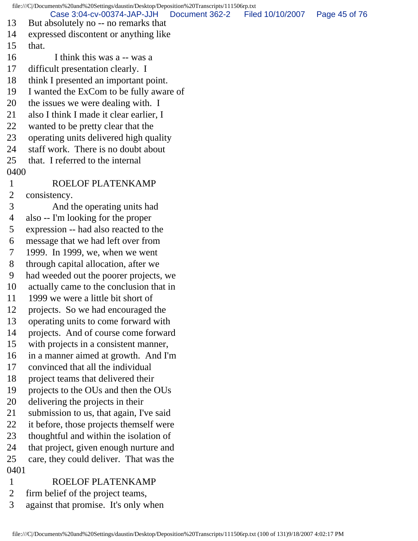file:///C|/Documents%20and%20Settings/daustin/Desktop/Deposition%20Transcripts/111506rp.txt 13 But absolutely no -- no remarks that 14 expressed discontent or anything like 15 that. 16 I think this was a -- was a 17 difficult presentation clearly. I 18 think I presented an important point. 19 I wanted the ExCom to be fully aware of 20 the issues we were dealing with. I 21 also I think I made it clear earlier, I 22 wanted to be pretty clear that the 23 operating units delivered high quality 24 staff work. There is no doubt about 25 that. I referred to the internal 0400 1 ROELOF PLATENKAMP 2 consistency. 3 And the operating units had 4 also -- I'm looking for the proper 5 expression -- had also reacted to the 6 message that we had left over from 7 1999. In 1999, we, when we went 8 through capital allocation, after we 9 had weeded out the poorer projects, we 10 actually came to the conclusion that in 11 1999 we were a little bit short of 12 projects. So we had encouraged the 13 operating units to come forward with 14 projects. And of course come forward 15 with projects in a consistent manner, 16 in a manner aimed at growth. And I'm 17 convinced that all the individual 18 project teams that delivered their 19 projects to the OUs and then the OUs 20 delivering the projects in their 21 submission to us, that again, I've said 22 it before, those projects themself were 23 thoughtful and within the isolation of 24 that project, given enough nurture and 25 care, they could deliver. That was the 0401 1 ROELOF PLATENKAMP 2 firm belief of the project teams, Case 3:04-cv-00374-JAP-JJH Document 362-2 Filed 10/10/2007 Page 45 of 76

3 against that promise. It's only when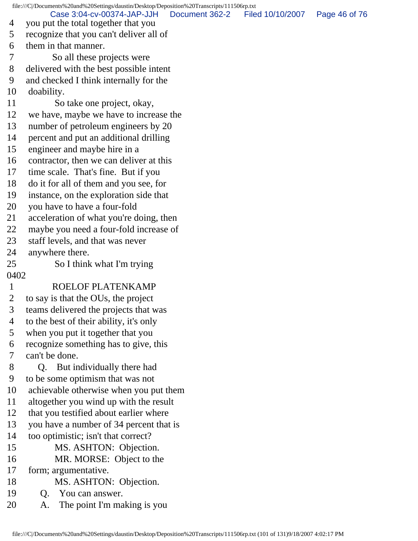file:///C|/Documents%20and%20Settings/daustin/Desktop/Deposition%20Transcripts/111506rp.txt 4 you put the total together that you 5 recognize that you can't deliver all of 6 them in that manner. 7 So all these projects were 8 delivered with the best possible intent 9 and checked I think internally for the 10 doability. 11 So take one project, okay, 12 we have, maybe we have to increase the 13 number of petroleum engineers by 20 14 percent and put an additional drilling 15 engineer and maybe hire in a 16 contractor, then we can deliver at this 17 time scale. That's fine. But if you 18 do it for all of them and you see, for 19 instance, on the exploration side that 20 you have to have a four-fold 21 acceleration of what you're doing, then 22 maybe you need a four-fold increase of 23 staff levels, and that was never 24 anywhere there. 25 So I think what I'm trying 0402 1 ROELOF PLATENKAMP 2 to say is that the OUs, the project 3 teams delivered the projects that was 4 to the best of their ability, it's only 5 when you put it together that you 6 recognize something has to give, this 7 can't be done. 8 Q. But individually there had 9 to be some optimism that was not 10 achievable otherwise when you put them 11 altogether you wind up with the result 12 that you testified about earlier where 13 you have a number of 34 percent that is 14 too optimistic; isn't that correct? 15 MS. ASHTON: Objection. 16 MR. MORSE: Object to the 17 form; argumentative. 18 MS. ASHTON: Objection. 19 Q. You can answer. 20 A. The point I'm making is you Case 3:04-cv-00374-JAP-JJH Document 362-2 Filed 10/10/2007 Page 46 of 76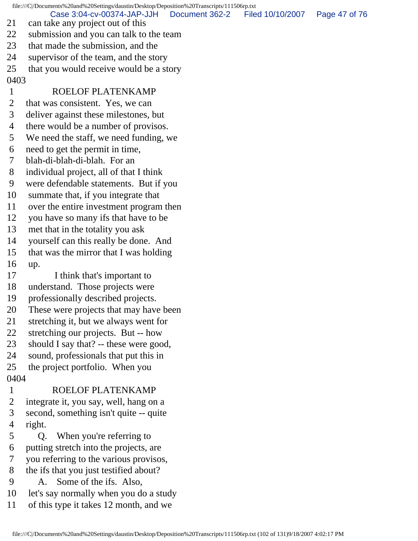file:///C|/Documents%20and%20Settings/daustin/Desktop/Deposition%20Transcripts/111506rp.txt 21 can take any project out of this 22 submission and you can talk to the team 23 that made the submission, and the 24 supervisor of the team, and the story 25 that you would receive would be a story 0403 1 ROELOF PLATENKAMP 2 that was consistent. Yes, we can 3 deliver against these milestones, but 4 there would be a number of provisos. 5 We need the staff, we need funding, we 6 need to get the permit in time, 7 blah-di-blah-di-blah. For an Case 3:04-cv-00374-JAP-JJH Document 362-2 Filed 10/10/2007 Page 47 of 76

- 8 individual project, all of that I think
- 9 were defendable statements. But if you
- 10 summate that, if you integrate that
- 11 over the entire investment program then
- 12 you have so many ifs that have to be
- 13 met that in the totality you ask
- 14 yourself can this really be done. And
- 15 that was the mirror that I was holding
- 16 up.
- 17 I think that's important to
- 18 understand. Those projects were
- 19 professionally described projects.
- 20 These were projects that may have been
- 21 stretching it, but we always went for
- 22 stretching our projects. But -- how
- 23 should I say that? -- these were good,
- 24 sound, professionals that put this in
- 25 the project portfolio. When you 0404

# 1 ROELOF PLATENKAMP

- 2 integrate it, you say, well, hang on a
- 3 second, something isn't quite -- quite
- 4 right.
- 5 Q. When you're referring to
- 6 putting stretch into the projects, are
- 7 you referring to the various provisos,
- 8 the ifs that you just testified about?
- 9 A. Some of the ifs. Also,
- 10 let's say normally when you do a study
- 11 of this type it takes 12 month, and we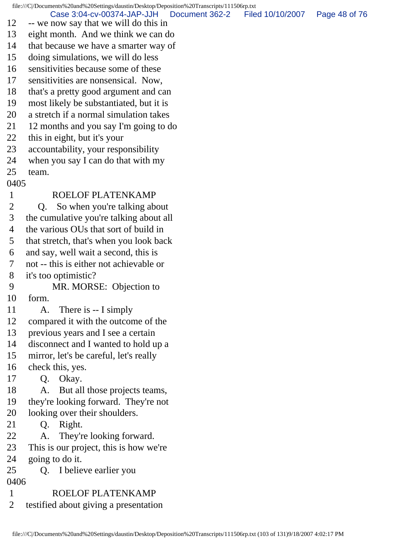file:///C|/Documents%20and%20Settings/daustin/Desktop/Deposition%20Transcripts/111506rp.txt 12 -- we now say that we will do this in 13 eight month. And we think we can do 14 that because we have a smarter way of 15 doing simulations, we will do less 16 sensitivities because some of these 17 sensitivities are nonsensical. Now, 18 that's a pretty good argument and can 19 most likely be substantiated, but it is 20 a stretch if a normal simulation takes 21 12 months and you say I'm going to do 22 this in eight, but it's your 23 accountability, your responsibility 24 when you say I can do that with my 25 team. 0405 1 ROELOF PLATENKAMP 2 Q. So when you're talking about 3 the cumulative you're talking about all 4 the various OUs that sort of build in 5 that stretch, that's when you look back 6 and say, well wait a second, this is 7 not -- this is either not achievable or 8 it's too optimistic? 9 MR. MORSE: Objection to 10 form. 11 A. There is -- I simply 12 compared it with the outcome of the 13 previous years and I see a certain 14 disconnect and I wanted to hold up a 15 mirror, let's be careful, let's really 16 check this, yes. 17 Q. Okay. 18 A. But all those projects teams, 19 they're looking forward. They're not 20 looking over their shoulders. 21 Q. Right. 22 A. They're looking forward. 23 This is our project, this is how we're 24 going to do it. 25 Q. I believe earlier you 0406 1 ROELOF PLATENKAMP 2 testified about giving a presentation Case 3:04-cv-00374-JAP-JJH Document 362-2 Filed 10/10/2007 Page 48 of 76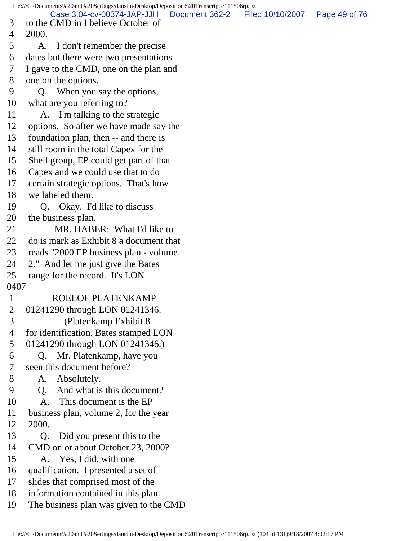file:///C|/Documents%20and%20Settings/daustin/Desktop/Deposition%20Transcripts/111506rp.txt 3 to the CMD in I believe October of 4 2000. 5 A. I don't remember the precise 6 dates but there were two presentations 7 I gave to the CMD, one on the plan and 8 one on the options. 9 Q. When you say the options, 10 what are you referring to? 11 A. I'm talking to the strategic 12 options. So after we have made say the 13 foundation plan, then -- and there is 14 still room in the total Capex for the 15 Shell group, EP could get part of that 16 Capex and we could use that to do 17 certain strategic options. That's how 18 we labeled them. 19 Q. Okay. I'd like to discuss 20 the business plan. 21 MR. HABER: What I'd like to 22 do is mark as Exhibit 8 a document that 23 reads "2000 EP business plan - volume 24 2." And let me just give the Bates 25 range for the record. It's LON 0407 1 ROELOF PLATENKAMP 2 01241290 through LON 01241346. 3 (Platenkamp Exhibit 8 4 for identification, Bates stamped LON 5 01241290 through LON 01241346.) 6 Q. Mr. Platenkamp, have you 7 seen this document before? 8 A. Absolutely. 9 Q. And what is this document? 10 A. This document is the EP 11 business plan, volume 2, for the year 12 2000. 13 Q. Did you present this to the 14 CMD on or about October 23, 2000? 15 A. Yes, I did, with one 16 qualification. I presented a set of 17 slides that comprised most of the 18 information contained in this plan. 19 The business plan was given to the CMD Case 3:04-cv-00374-JAP-JJH Document 362-2 Filed 10/10/2007 Page 49 of 76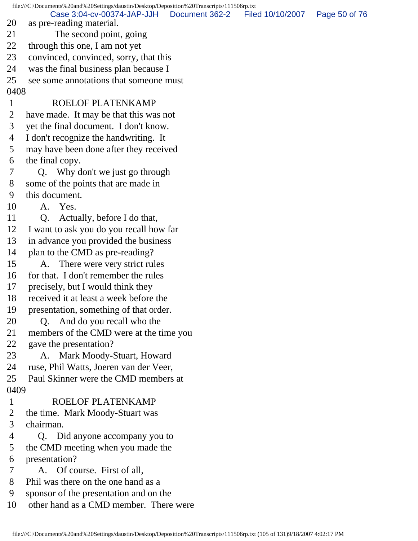file:///C|/Documents%20and%20Settings/daustin/Desktop/Deposition%20Transcripts/111506rp.txt 20 as pre-reading material. 21 The second point, going 22 through this one, I am not yet 23 convinced, convinced, sorry, that this 24 was the final business plan because I 25 see some annotations that someone must 0408 1 ROELOF PLATENKAMP 2 have made. It may be that this was not 3 yet the final document. I don't know. 4 I don't recognize the handwriting. It 5 may have been done after they received 6 the final copy. 7 Q. Why don't we just go through 8 some of the points that are made in 9 this document. 10 A. Yes. 11 Q. Actually, before I do that, 12 I want to ask you do you recall how far 13 in advance you provided the business 14 plan to the CMD as pre-reading? 15 A. There were very strict rules 16 for that. I don't remember the rules 17 precisely, but I would think they 18 received it at least a week before the 19 presentation, something of that order. 20 Q. And do you recall who the 21 members of the CMD were at the time you 22 gave the presentation? 23 A. Mark Moody-Stuart, Howard 24 ruse, Phil Watts, Joeren van der Veer, 25 Paul Skinner were the CMD members at 0409 1 ROELOF PLATENKAMP 2 the time. Mark Moody-Stuart was 3 chairman. 4 Q. Did anyone accompany you to 5 the CMD meeting when you made the 6 presentation? 7 A. Of course. First of all, 8 Phil was there on the one hand as a 9 sponsor of the presentation and on the 10 other hand as a CMD member. There were Case 3:04-cv-00374-JAP-JJH Document 362-2 Filed 10/10/2007 Page 50 of 76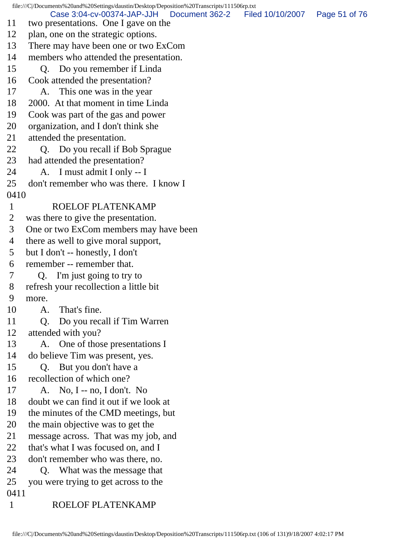file:///C|/Documents%20and%20Settings/daustin/Desktop/Deposition%20Transcripts/111506rp.txt 11 two presentations. One I gave on the 12 plan, one on the strategic options. 13 There may have been one or two ExCom 14 members who attended the presentation. 15 Q. Do you remember if Linda 16 Cook attended the presentation? 17 A. This one was in the year 18 2000. At that moment in time Linda 19 Cook was part of the gas and power 20 organization, and I don't think she 21 attended the presentation. 22 Q. Do you recall if Bob Sprague 23 had attended the presentation? 24 A. I must admit I only -- I 25 don't remember who was there. I know I 0410 1 ROELOF PLATENKAMP 2 was there to give the presentation. 3 One or two ExCom members may have been 4 there as well to give moral support, 5 but I don't -- honestly, I don't 6 remember -- remember that. 7 Q. I'm just going to try to 8 refresh your recollection a little bit 9 more. 10 A. That's fine. 11 Q. Do you recall if Tim Warren 12 attended with you? 13 A. One of those presentations I 14 do believe Tim was present, yes. 15 Q. But you don't have a 16 recollection of which one? 17 A. No, I -- no, I don't. No 18 doubt we can find it out if we look at 19 the minutes of the CMD meetings, but 20 the main objective was to get the 21 message across. That was my job, and 22 that's what I was focused on, and I 23 don't remember who was there, no. 24 O. What was the message that 25 you were trying to get across to the 0411 1 ROELOF PLATENKAMP Case 3:04-cv-00374-JAP-JJH Document 362-2 Filed 10/10/2007 Page 51 of 76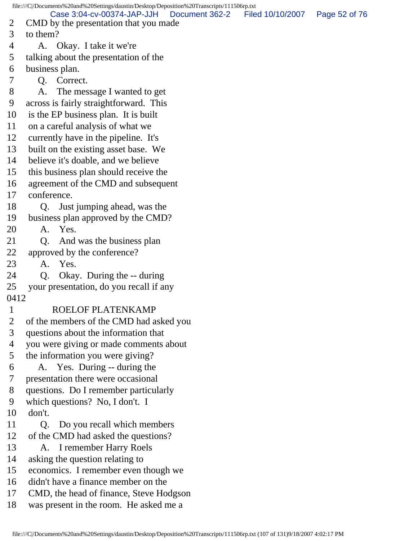file:///C|/Documents%20and%20Settings/daustin/Desktop/Deposition%20Transcripts/111506rp.txt 2 CMD by the presentation that you made 3 to them? 4 A. Okay. I take it we're 5 talking about the presentation of the 6 business plan. 7 Q. Correct. 8 A. The message I wanted to get 9 across is fairly straightforward. This 10 is the EP business plan. It is built 11 on a careful analysis of what we 12 currently have in the pipeline. It's 13 built on the existing asset base. We 14 believe it's doable, and we believe 15 this business plan should receive the 16 agreement of the CMD and subsequent 17 conference. 18 Q. Just jumping ahead, was the 19 business plan approved by the CMD? 20 A. Yes. 21 O. And was the business plan 22 approved by the conference? 23 A. Yes. 24 Q. Okay. During the -- during 25 your presentation, do you recall if any 0412 1 ROELOF PLATENKAMP 2 of the members of the CMD had asked you 3 questions about the information that 4 you were giving or made comments about 5 the information you were giving? 6 A. Yes. During -- during the 7 presentation there were occasional 8 questions. Do I remember particularly 9 which questions? No, I don't. I 10 don't. 11 Q. Do you recall which members 12 of the CMD had asked the questions? 13 A. I remember Harry Roels 14 asking the question relating to 15 economics. I remember even though we 16 didn't have a finance member on the 17 CMD, the head of finance, Steve Hodgson 18 was present in the room. He asked me a Case 3:04-cv-00374-JAP-JJH Document 362-2 Filed 10/10/2007 Page 52 of 76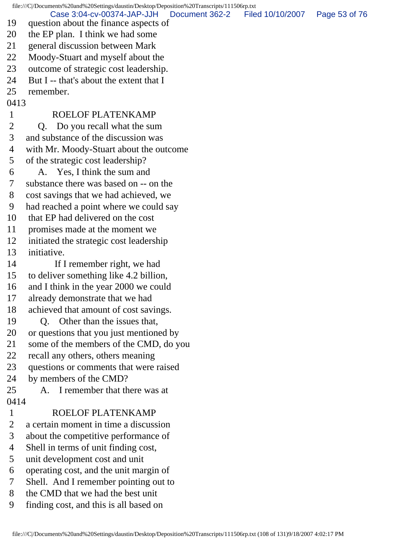file:///C|/Documents%20and%20Settings/daustin/Desktop/Deposition%20Transcripts/111506rp.txt

Case 3:04-cv-00374-JAP-JJH Document 362-2 Filed 10/10/2007 Page 53 of 76

- 19 question about the finance aspects of
- 20 the EP plan. I think we had some
- 21 general discussion between Mark
- 22 Moody-Stuart and myself about the
- 23 outcome of strategic cost leadership.
- 24 But I -- that's about the extent that I
- 25 remember.
- 0413

## 1 ROELOF PLATENKAMP

2 O. Do you recall what the sum

- 3 and substance of the discussion was
- 4 with Mr. Moody-Stuart about the outcome
- 5 of the strategic cost leadership?
- 6 A. Yes, I think the sum and
- 7 substance there was based on -- on the
- 8 cost savings that we had achieved, we
- 9 had reached a point where we could say
- 10 that EP had delivered on the cost
- 11 promises made at the moment we
- 12 initiated the strategic cost leadership
- 13 initiative.
- 14 If I remember right, we had
- 15 to deliver something like 4.2 billion,
- 16 and I think in the year 2000 we could
- 17 already demonstrate that we had
- 18 achieved that amount of cost savings.
- 19 Q. Other than the issues that,
- 20 or questions that you just mentioned by
- 21 some of the members of the CMD, do you
- 22 recall any others, others meaning
- 23 questions or comments that were raised
- 24 by members of the CMD?
- 25 A. I remember that there was at 0414
- 

# 1 ROELOF PLATENKAMP

- 2 a certain moment in time a discussion
- 3 about the competitive performance of
- 4 Shell in terms of unit finding cost,
- 5 unit development cost and unit
- 6 operating cost, and the unit margin of
- 7 Shell. And I remember pointing out to
- 8 the CMD that we had the best unit
- 9 finding cost, and this is all based on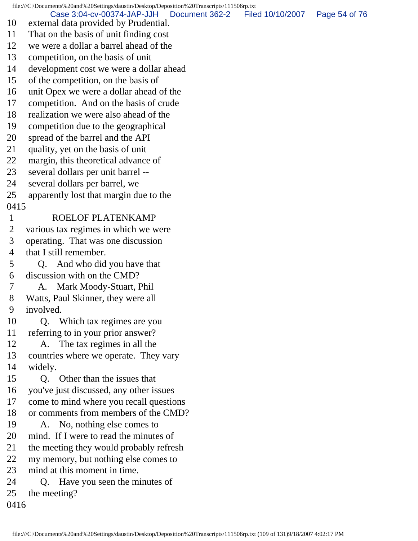file:///C|/Documents%20and%20Settings/daustin/Desktop/Deposition%20Transcripts/111506rp.txt 10 external data provided by Prudential. 11 That on the basis of unit finding cost 12 we were a dollar a barrel ahead of the 13 competition, on the basis of unit 14 development cost we were a dollar ahead 15 of the competition, on the basis of 16 unit Opex we were a dollar ahead of the 17 competition. And on the basis of crude 18 realization we were also ahead of the 19 competition due to the geographical 20 spread of the barrel and the API 21 quality, yet on the basis of unit 22 margin, this theoretical advance of 23 several dollars per unit barrel -- 24 several dollars per barrel, we 25 apparently lost that margin due to the 0415 1 ROELOF PLATENKAMP 2 various tax regimes in which we were 3 operating. That was one discussion 4 that I still remember. 5 Q. And who did you have that 6 discussion with on the CMD? 7 A. Mark Moody-Stuart, Phil 8 Watts, Paul Skinner, they were all 9 involved. 10 Q. Which tax regimes are you 11 referring to in your prior answer? 12 A. The tax regimes in all the 13 countries where we operate. They vary 14 widely. 15 Q. Other than the issues that 16 you've just discussed, any other issues 17 come to mind where you recall questions 18 or comments from members of the CMD? 19 A. No, nothing else comes to 20 mind. If I were to read the minutes of 21 the meeting they would probably refresh 22 my memory, but nothing else comes to 23 mind at this moment in time. 24 Q. Have you seen the minutes of 25 the meeting? Case 3:04-cv-00374-JAP-JJH Document 362-2 Filed 10/10/2007 Page 54 of 76

0416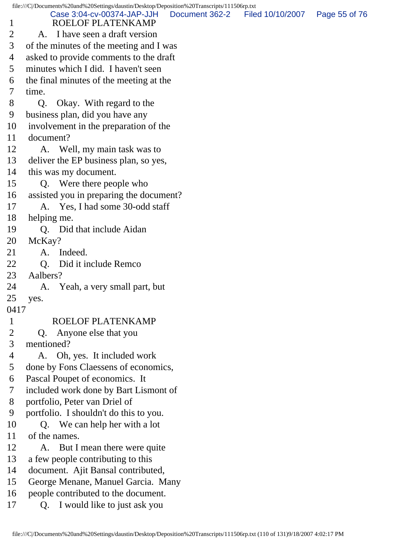file:///C|/Documents%20and%20Settings/daustin/Desktop/Deposition%20Transcripts/111506rp.txt 1 ROELOF PLATENKAMP 2 A. I have seen a draft version 3 of the minutes of the meeting and I was 4 asked to provide comments to the draft 5 minutes which I did. I haven't seen 6 the final minutes of the meeting at the 7 time. 8 Q. Okay. With regard to the 9 business plan, did you have any 10 involvement in the preparation of the 11 document? 12 A. Well, my main task was to 13 deliver the EP business plan, so yes, 14 this was my document. 15 Q. Were there people who 16 assisted you in preparing the document? 17 A. Yes, I had some 30-odd staff 18 helping me. 19 Q. Did that include Aidan 20 McKay? 21 A. Indeed. 22 O. Did it include Remco 23 Aalbers? 24 A. Yeah, a very small part, but 25 yes. 0417 1 ROELOF PLATENKAMP 2 Q. Anyone else that you 3 mentioned? 4 A. Oh, yes. It included work 5 done by Fons Claessens of economics, 6 Pascal Poupet of economics. It 7 included work done by Bart Lismont of 8 portfolio, Peter van Driel of 9 portfolio. I shouldn't do this to you. 10 Q. We can help her with a lot 11 of the names. 12 A. But I mean there were quite 13 a few people contributing to this 14 document. Ajit Bansal contributed, 15 George Menane, Manuel Garcia. Many 16 people contributed to the document. 17 Q. I would like to just ask you Case 3:04-cv-00374-JAP-JJH Document 362-2 Filed 10/10/2007 Page 55 of 76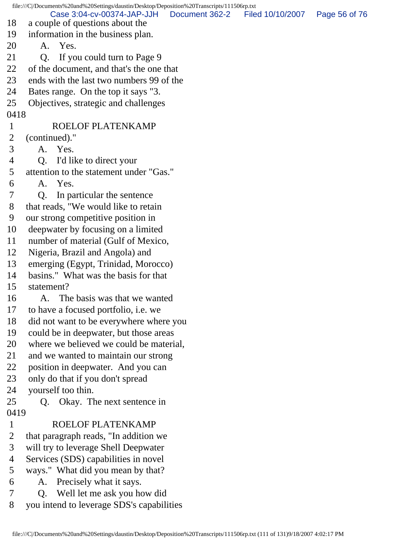file:///C|/Documents%20and%20Settings/daustin/Desktop/Deposition%20Transcripts/111506rp.txt 18 a couple of questions about the 19 information in the business plan. 20 A. Yes. 21 Q. If you could turn to Page 9 22 of the document, and that's the one that 23 ends with the last two numbers 99 of the 24 Bates range. On the top it says "3. 25 Objectives, strategic and challenges 0418 1 ROELOF PLATENKAMP 2 (continued)." 3 A. Yes. 4 Q. I'd like to direct your 5 attention to the statement under "Gas." 6 A. Yes. 7 Q. In particular the sentence 8 that reads, "We would like to retain 9 our strong competitive position in 10 deepwater by focusing on a limited 11 number of material (Gulf of Mexico, 12 Nigeria, Brazil and Angola) and 13 emerging (Egypt, Trinidad, Morocco) 14 basins." What was the basis for that 15 statement? 16 A. The basis was that we wanted 17 to have a focused portfolio, i.e. we 18 did not want to be everywhere where you 19 could be in deepwater, but those areas 20 where we believed we could be material, 21 and we wanted to maintain our strong 22 position in deepwater. And you can 23 only do that if you don't spread 24 yourself too thin. 25 Q. Okay. The next sentence in 0419 1 ROELOF PLATENKAMP 2 that paragraph reads, "In addition we 3 will try to leverage Shell Deepwater 4 Services (SDS) capabilities in novel 5 ways." What did you mean by that? 6 A. Precisely what it says. 7 Q. Well let me ask you how did 8 you intend to leverage SDS's capabilities Case 3:04-cv-00374-JAP-JJH Document 362-2 Filed 10/10/2007 Page 56 of 76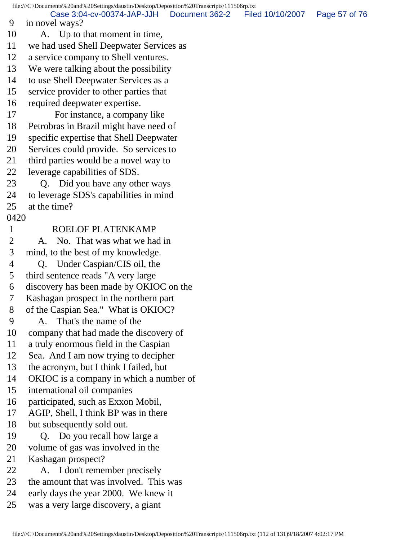file:///C|/Documents%20and%20Settings/daustin/Desktop/Deposition%20Transcripts/111506rp.txt 9 in novel ways? 10 A. Up to that moment in time, 11 we had used Shell Deepwater Services as 12 a service company to Shell ventures. 13 We were talking about the possibility 14 to use Shell Deepwater Services as a 15 service provider to other parties that 16 required deepwater expertise. 17 For instance, a company like 18 Petrobras in Brazil might have need of 19 specific expertise that Shell Deepwater 20 Services could provide. So services to 21 third parties would be a novel way to 22 leverage capabilities of SDS. 23 Q. Did you have any other ways 24 to leverage SDS's capabilities in mind 25 at the time? 0420 1 ROELOF PLATENKAMP 2 A. No. That was what we had in 3 mind, to the best of my knowledge. 4 Q. Under Caspian/CIS oil, the 5 third sentence reads "A very large 6 discovery has been made by OKIOC on the 7 Kashagan prospect in the northern part 8 of the Caspian Sea." What is OKIOC? 9 A. That's the name of the 10 company that had made the discovery of 11 a truly enormous field in the Caspian 12 Sea. And I am now trying to decipher 13 the acronym, but I think I failed, but 14 OKIOC is a company in which a number of 15 international oil companies 16 participated, such as Exxon Mobil, 17 AGIP, Shell, I think BP was in there 18 but subsequently sold out. 19 Q. Do you recall how large a 20 volume of gas was involved in the 21 Kashagan prospect? 22 A. I don't remember precisely 23 the amount that was involved. This was 24 early days the year 2000. We knew it 25 was a very large discovery, a giant Case 3:04-cv-00374-JAP-JJH Document 362-2 Filed 10/10/2007 Page 57 of 76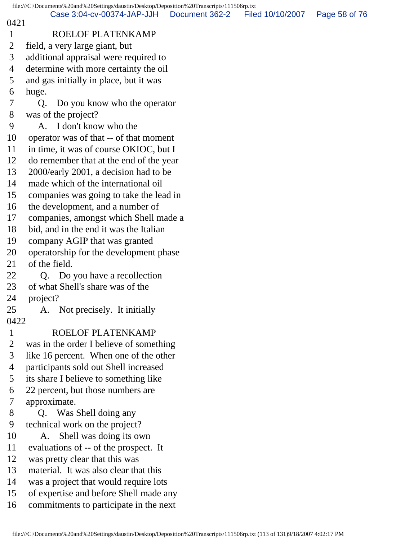#### 0421

### 1 ROELOF PLATENKAMP

- 2 field, a very large giant, but
- 3 additional appraisal were required to
- 4 determine with more certainty the oil
- 5 and gas initially in place, but it was
- 6 huge.
- 7 Q. Do you know who the operator
- 8 was of the project?
- 9 A. I don't know who the
- 10 operator was of that -- of that moment
- 11 in time, it was of course OKIOC, but I
- 12 do remember that at the end of the year
- 13 2000/early 2001, a decision had to be
- 14 made which of the international oil
- 15 companies was going to take the lead in
- 16 the development, and a number of
- 17 companies, amongst which Shell made a
- 18 bid, and in the end it was the Italian
- 19 company AGIP that was granted
- 20 operatorship for the development phase
- 21 of the field.
- 22 Q. Do you have a recollection
- 23 of what Shell's share was of the
- 24 project?
- 25 A. Not precisely. It initially
- 0422

## 1 ROELOF PLATENKAMP

- 2 was in the order I believe of something
- 3 like 16 percent. When one of the other
- 4 participants sold out Shell increased
- 5 its share I believe to something like
- 6 22 percent, but those numbers are
- 7 approximate.
- 8 Q. Was Shell doing any
- 9 technical work on the project?
- 10 A. Shell was doing its own
- 11 evaluations of -- of the prospect. It
- 12 was pretty clear that this was
- 13 material. It was also clear that this
- 14 was a project that would require lots
- 15 of expertise and before Shell made any
- 16 commitments to participate in the next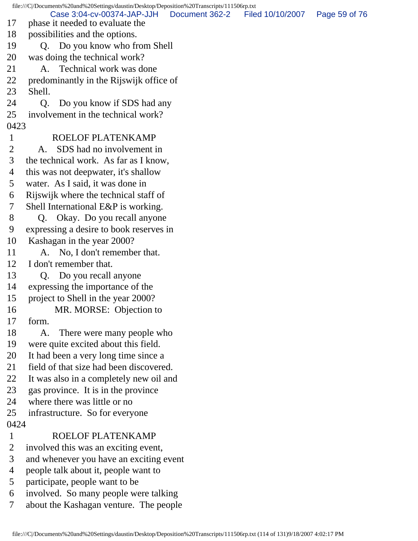file:///C|/Documents%20and%20Settings/daustin/Desktop/Deposition%20Transcripts/111506rp.txt 17 phase it needed to evaluate the 18 possibilities and the options. 19 Q. Do you know who from Shell 20 was doing the technical work? 21 A. Technical work was done 22 predominantly in the Rijswijk office of 23 Shell. 24 Q. Do you know if SDS had any 25 involvement in the technical work? 0423 1 ROELOF PLATENKAMP 2 A. SDS had no involvement in 3 the technical work. As far as I know, 4 this was not deepwater, it's shallow 5 water. As I said, it was done in 6 Rijswijk where the technical staff of 7 Shell International E&P is working. 8 O. Okay. Do you recall anyone 9 expressing a desire to book reserves in 10 Kashagan in the year 2000? 11 A. No, I don't remember that. 12 I don't remember that. 13 Q. Do you recall anyone 14 expressing the importance of the 15 project to Shell in the year 2000? 16 MR. MORSE: Objection to 17 form. 18 A. There were many people who 19 were quite excited about this field. 20 It had been a very long time since a 21 field of that size had been discovered. 22 It was also in a completely new oil and 23 gas province. It is in the province 24 where there was little or no 25 infrastructure. So for everyone 0424 1 ROELOF PLATENKAMP 2 involved this was an exciting event, 3 and whenever you have an exciting event 4 people talk about it, people want to 5 participate, people want to be 6 involved. So many people were talking 7 about the Kashagan venture. The people Case 3:04-cv-00374-JAP-JJH Document 362-2 Filed 10/10/2007 Page 59 of 76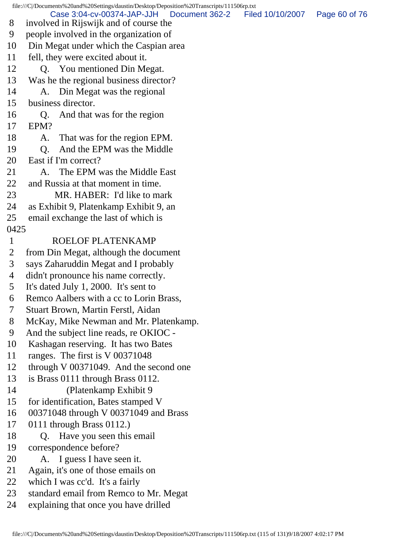file:///C|/Documents%20and%20Settings/daustin/Desktop/Deposition%20Transcripts/111506rp.txt 8 involved in Rijswijk and of course the 9 people involved in the organization of 10 Din Megat under which the Caspian area 11 fell, they were excited about it. 12 O. You mentioned Din Megat. 13 Was he the regional business director? 14 A. Din Megat was the regional 15 business director. 16 Q. And that was for the region 17 EPM? 18 A. That was for the region EPM. 19 Q. And the EPM was the Middle 20 East if I'm correct? 21 A. The EPM was the Middle East 22 and Russia at that moment in time. 23 MR. HABER: I'd like to mark 24 as Exhibit 9, Platenkamp Exhibit 9, an 25 email exchange the last of which is 0425 1 ROELOF PLATENKAMP 2 from Din Megat, although the document 3 says Zaharuddin Megat and I probably 4 didn't pronounce his name correctly. 5 It's dated July 1, 2000. It's sent to 6 Remco Aalbers with a cc to Lorin Brass, 7 Stuart Brown, Martin Ferstl, Aidan 8 McKay, Mike Newman and Mr. Platenkamp. 9 And the subject line reads, re OKIOC - 10 Kashagan reserving. It has two Bates 11 ranges. The first is V 00371048 12 through V 00371049. And the second one 13 is Brass 0111 through Brass 0112. 14 (Platenkamp Exhibit 9 15 for identification, Bates stamped V 16 00371048 through V 00371049 and Brass 17 0111 through Brass 0112.) 18 Q. Have you seen this email 19 correspondence before? 20 A. I guess I have seen it. 21 Again, it's one of those emails on 22 which I was cc'd. It's a fairly 23 standard email from Remco to Mr. Megat 24 explaining that once you have drilled Case 3:04-cv-00374-JAP-JJH Document 362-2 Filed 10/10/2007 Page 60 of 76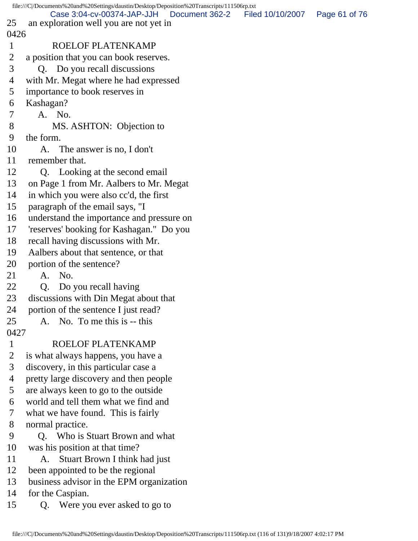|              | file:///C /Documents%20and%20Settings/daustin/Desktop/Deposition%20Transcripts/111506rp.txt |                                 |               |
|--------------|---------------------------------------------------------------------------------------------|---------------------------------|---------------|
| 25           | Case 3:04-cv-00374-JAP-JJH<br>an exploration well you are not yet in                        | Document 362-2 Filed 10/10/2007 | Page 61 of 76 |
| 0426         |                                                                                             |                                 |               |
| $\mathbf 1$  | <b>ROELOF PLATENKAMP</b>                                                                    |                                 |               |
| 2            | a position that you can book reserves.                                                      |                                 |               |
| 3            | Q. Do you recall discussions                                                                |                                 |               |
| 4            | with Mr. Megat where he had expressed                                                       |                                 |               |
| 5            | importance to book reserves in                                                              |                                 |               |
| 6            | Kashagan?                                                                                   |                                 |               |
| 7            | A. No.                                                                                      |                                 |               |
| 8            | MS. ASHTON: Objection to                                                                    |                                 |               |
| 9            | the form.                                                                                   |                                 |               |
| 10           | A. The answer is no, I don't                                                                |                                 |               |
| 11           | remember that.                                                                              |                                 |               |
| 12           | Q. Looking at the second email                                                              |                                 |               |
| 13           | on Page 1 from Mr. Aalbers to Mr. Megat                                                     |                                 |               |
| 14           | in which you were also cc'd, the first                                                      |                                 |               |
| 15           | paragraph of the email says, "I                                                             |                                 |               |
| 16           | understand the importance and pressure on                                                   |                                 |               |
| 17           | 'reserves' booking for Kashagan." Do you                                                    |                                 |               |
| 18           |                                                                                             |                                 |               |
| 19           | recall having discussions with Mr.                                                          |                                 |               |
|              | Aalbers about that sentence, or that                                                        |                                 |               |
| 20<br>21     | portion of the sentence?<br>A. No.                                                          |                                 |               |
| 22           |                                                                                             |                                 |               |
| 23           | Q. Do you recall having                                                                     |                                 |               |
|              | discussions with Din Megat about that                                                       |                                 |               |
| 24<br>25     | portion of the sentence I just read?<br>A. No. To me this is -- this                        |                                 |               |
| 0427         |                                                                                             |                                 |               |
| $\mathbf{1}$ | ROELOF PLATENKAMP                                                                           |                                 |               |
| 2            | is what always happens, you have a                                                          |                                 |               |
| 3            | discovery, in this particular case a                                                        |                                 |               |
| 4            | pretty large discovery and then people                                                      |                                 |               |
| 5            | are always keen to go to the outside                                                        |                                 |               |
| 6            | world and tell them what we find and                                                        |                                 |               |
| 7            | what we have found. This is fairly                                                          |                                 |               |
| 8            |                                                                                             |                                 |               |
| 9            | normal practice.<br>Q. Who is Stuart Brown and what                                         |                                 |               |
| 10           | was his position at that time?                                                              |                                 |               |
| 11           |                                                                                             |                                 |               |
| 12           | Stuart Brown I think had just<br>А.<br>been appointed to be the regional                    |                                 |               |
| 13           | business advisor in the EPM organization                                                    |                                 |               |
| 14           | for the Caspian.                                                                            |                                 |               |
| 15           |                                                                                             |                                 |               |
|              | Were you ever asked to go to<br>Q.                                                          |                                 |               |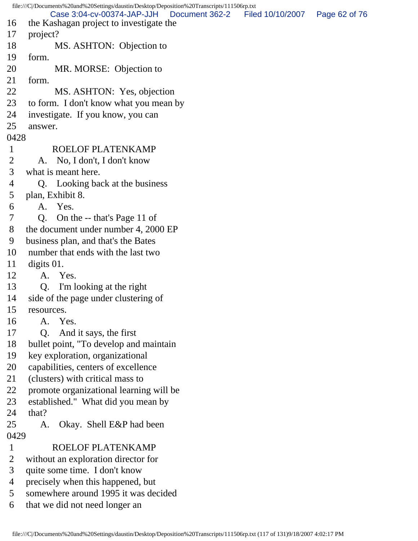file:///C|/Documents%20and%20Settings/daustin/Desktop/Deposition%20Transcripts/111506rp.txt 16 the Kashagan project to investigate the 17 project? 18 MS. ASHTON: Objection to 19 form. 20 MR. MORSE: Objection to 21 form. 22 MS. ASHTON: Yes, objection 23 to form. I don't know what you mean by 24 investigate. If you know, you can 25 answer. 0428 1 ROELOF PLATENKAMP 2 A. No, I don't, I don't know 3 what is meant here. 4 Q. Looking back at the business 5 plan, Exhibit 8. 6 A. Yes. 7 Q. On the -- that's Page 11 of 8 the document under number 4, 2000 EP 9 business plan, and that's the Bates 10 number that ends with the last two 11 digits 01. 12 A. Yes. 13 Q. I'm looking at the right 14 side of the page under clustering of 15 resources. 16 A. Yes. 17 Q. And it says, the first 18 bullet point, "To develop and maintain 19 key exploration, organizational 20 capabilities, centers of excellence 21 (clusters) with critical mass to 22 promote organizational learning will be 23 established." What did you mean by 24 that? 25 A. Okay. Shell E&P had been 0429 1 ROELOF PLATENKAMP 2 without an exploration director for 3 quite some time. I don't know 4 precisely when this happened, but 5 somewhere around 1995 it was decided 6 that we did not need longer an Case 3:04-cv-00374-JAP-JJH Document 362-2 Filed 10/10/2007 Page 62 of 76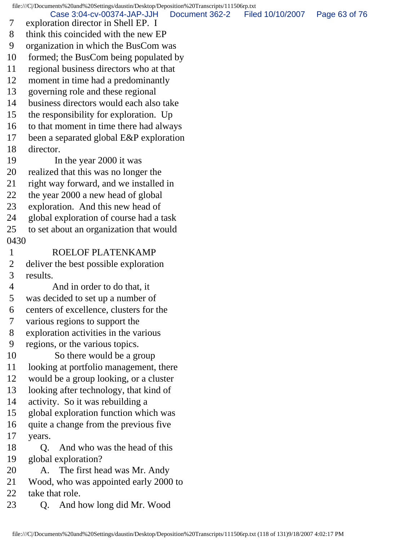file:///C|/Documents%20and%20Settings/daustin/Desktop/Deposition%20Transcripts/111506rp.txt 7 exploration director in Shell EP. I 8 think this coincided with the new EP 9 organization in which the BusCom was 10 formed; the BusCom being populated by 11 regional business directors who at that 12 moment in time had a predominantly 13 governing role and these regional 14 business directors would each also take 15 the responsibility for exploration. Up 16 to that moment in time there had always 17 been a separated global E&P exploration 18 director. 19 In the year 2000 it was 20 realized that this was no longer the 21 right way forward, and we installed in 22 the year 2000 a new head of global 23 exploration. And this new head of 24 global exploration of course had a task 25 to set about an organization that would 0430 1 ROELOF PLATENKAMP 2 deliver the best possible exploration 3 results. 4 And in order to do that, it 5 was decided to set up a number of 6 centers of excellence, clusters for the 7 various regions to support the 8 exploration activities in the various 9 regions, or the various topics. 10 So there would be a group 11 looking at portfolio management, there 12 would be a group looking, or a cluster 13 looking after technology, that kind of 14 activity. So it was rebuilding a 15 global exploration function which was 16 quite a change from the previous five 17 years. 18 O. And who was the head of this 19 global exploration? 20 A. The first head was Mr. Andy 21 Wood, who was appointed early 2000 to 22 take that role. 23 Q. And how long did Mr. Wood Case 3:04-cv-00374-JAP-JJH Document 362-2 Filed 10/10/2007 Page 63 of 76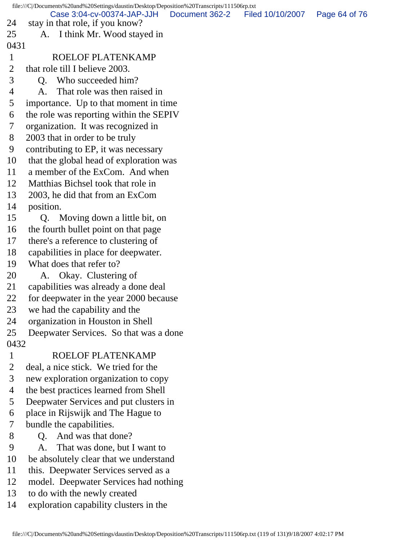file:///C|/Documents%20and%20Settings/daustin/Desktop/Deposition%20Transcripts/111506rp.txt 24 stay in that role, if you know? 25 A. I think Mr. Wood stayed in 0431 1 ROELOF PLATENKAMP 2 that role till I believe 2003. 3 Q. Who succeeded him? 4 A. That role was then raised in 5 importance. Up to that moment in time 6 the role was reporting within the SEPIV 7 organization. It was recognized in 8 2003 that in order to be truly 9 contributing to EP, it was necessary 10 that the global head of exploration was 11 a member of the ExCom. And when 12 Matthias Bichsel took that role in 13 2003, he did that from an ExCom 14 position. 15 Q. Moving down a little bit, on 16 the fourth bullet point on that page 17 there's a reference to clustering of 18 capabilities in place for deepwater. 19 What does that refer to? 20 A. Okay. Clustering of 21 capabilities was already a done deal 22 for deepwater in the year 2000 because 23 we had the capability and the 24 organization in Houston in Shell 25 Deepwater Services. So that was a done 0432 1 ROELOF PLATENKAMP 2 deal, a nice stick. We tried for the 3 new exploration organization to copy 4 the best practices learned from Shell 5 Deepwater Services and put clusters in 6 place in Rijswijk and The Hague to 7 bundle the capabilities. 8 Q. And was that done? 9 A. That was done, but I want to 10 be absolutely clear that we understand 11 this. Deepwater Services served as a 12 model. Deepwater Services had nothing 13 to do with the newly created 14 exploration capability clusters in the Case 3:04-cv-00374-JAP-JJH Document 362-2 Filed 10/10/2007 Page 64 of 76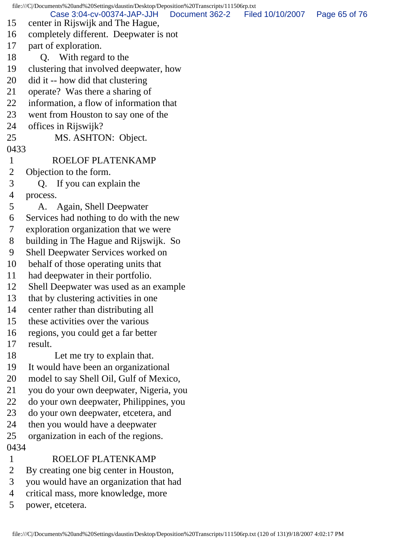file:///C|/Documents%20and%20Settings/daustin/Desktop/Deposition%20Transcripts/111506rp.txt 15 center in Rijswijk and The Hague, 16 completely different. Deepwater is not 17 part of exploration. 18 Q. With regard to the 19 clustering that involved deepwater, how 20 did it -- how did that clustering 21 operate? Was there a sharing of 22 information, a flow of information that 23 went from Houston to say one of the 24 offices in Rijswijk? 25 MS. ASHTON: Object. 0433 1 ROELOF PLATENKAMP 2 Objection to the form. 3 Q. If you can explain the 4 process. 5 A. Again, Shell Deepwater 6 Services had nothing to do with the new 7 exploration organization that we were 8 building in The Hague and Rijswijk. So 9 Shell Deepwater Services worked on 10 behalf of those operating units that 11 had deepwater in their portfolio. 12 Shell Deepwater was used as an example 13 that by clustering activities in one 14 center rather than distributing all 15 these activities over the various 16 regions, you could get a far better 17 result. 18 Let me try to explain that. 19 It would have been an organizational 20 model to say Shell Oil, Gulf of Mexico, 21 you do your own deepwater, Nigeria, you 22 do your own deepwater, Philippines, you 23 do your own deepwater, etcetera, and 24 then you would have a deepwater 25 organization in each of the regions. 0434 1 ROELOF PLATENKAMP 2 By creating one big center in Houston, 3 you would have an organization that had Case 3:04-cv-00374-JAP-JJH Document 362-2 Filed 10/10/2007 Page 65 of 76

- 4 critical mass, more knowledge, more
- 5 power, etcetera.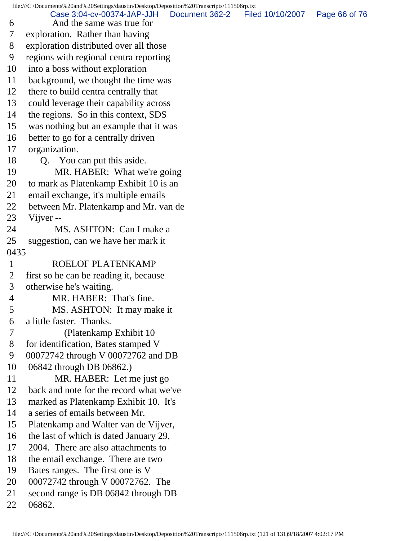file:///C|/Documents%20and%20Settings/daustin/Desktop/Deposition%20Transcripts/111506rp.txt

 6 And the same was true for 7 exploration. Rather than having 8 exploration distributed over all those 9 regions with regional centra reporting 10 into a boss without exploration 11 background, we thought the time was 12 there to build centra centrally that 13 could leverage their capability across 14 the regions. So in this context, SDS 15 was nothing but an example that it was 16 better to go for a centrally driven 17 organization. 18 Q. You can put this aside. 19 MR. HABER: What we're going 20 to mark as Platenkamp Exhibit 10 is an 21 email exchange, it's multiple emails 22 between Mr. Platenkamp and Mr. van de 23 Vijver -- 24 MS. ASHTON: Can I make a 25 suggestion, can we have her mark it 0435 1 ROELOF PLATENKAMP 2 first so he can be reading it, because 3 otherwise he's waiting. 4 MR. HABER: That's fine. 5 MS. ASHTON: It may make it 6 a little faster. Thanks. 7 (Platenkamp Exhibit 10 8 for identification, Bates stamped V 9 00072742 through V 00072762 and DB 10 06842 through DB 06862.) 11 MR. HABER: Let me just go 12 back and note for the record what we've 13 marked as Platenkamp Exhibit 10. It's 14 a series of emails between Mr. 15 Platenkamp and Walter van de Vijver, 16 the last of which is dated January 29, 17 2004. There are also attachments to 18 the email exchange. There are two 19 Bates ranges. The first one is V 20 00072742 through V 00072762. The 21 second range is DB 06842 through DB 22 06862. Case 3:04-cv-00374-JAP-JJH Document 362-2 Filed 10/10/2007 Page 66 of 76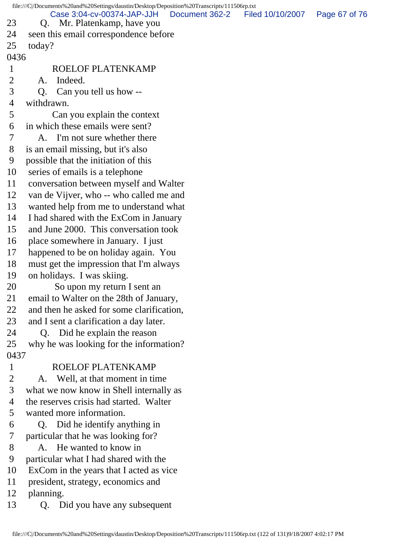file:///C|/Documents%20and%20Settings/daustin/Desktop/Deposition%20Transcripts/111506rp.txt 23 Q. Mr. Platenkamp, have you 24 seen this email correspondence before 25 today? 0436 1 ROELOF PLATENKAMP 2 A. Indeed. 3 Q. Can you tell us how -- 4 withdrawn. 5 Can you explain the context 6 in which these emails were sent? 7 A. I'm not sure whether there 8 is an email missing, but it's also 9 possible that the initiation of this 10 series of emails is a telephone 11 conversation between myself and Walter 12 van de Vijver, who -- who called me and 13 wanted help from me to understand what 14 I had shared with the ExCom in January 15 and June 2000. This conversation took 16 place somewhere in January. I just 17 happened to be on holiday again. You 18 must get the impression that I'm always 19 on holidays. I was skiing. 20 So upon my return I sent an 21 email to Walter on the 28th of January, 22 and then he asked for some clarification, 23 and I sent a clarification a day later. 24 Q. Did he explain the reason 25 why he was looking for the information? 0437 1 ROELOF PLATENKAMP 2 A. Well, at that moment in time 3 what we now know in Shell internally as 4 the reserves crisis had started. Walter 5 wanted more information. 6 Q. Did he identify anything in 7 particular that he was looking for? 8 A. He wanted to know in 9 particular what I had shared with the 10 ExCom in the years that I acted as vice 11 president, strategy, economics and 12 planning. 13 Q. Did you have any subsequent Case 3:04-cv-00374-JAP-JJH Document 362-2 Filed 10/10/2007 Page 67 of 76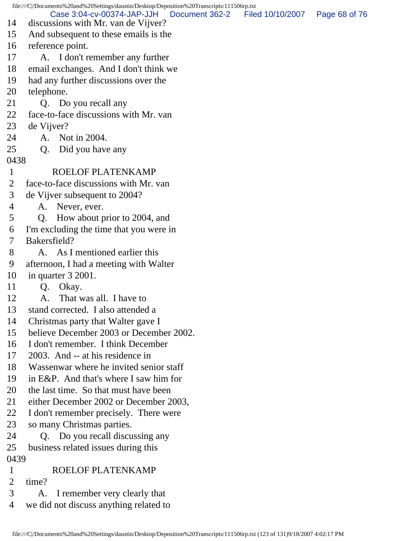file:///C|/Documents%20and%20Settings/daustin/Desktop/Deposition%20Transcripts/111506rp.txt 14 discussions with Mr. van de Vijver? 15 And subsequent to these emails is the 16 reference point. 17 A. I don't remember any further 18 email exchanges. And I don't think we 19 had any further discussions over the 20 telephone. 21 O. Do you recall any 22 face-to-face discussions with Mr. van 23 de Vijver? 24 A. Not in 2004. 25 Q. Did you have any 0438 1 ROELOF PLATENKAMP 2 face-to-face discussions with Mr. van 3 de Vijver subsequent to 2004? 4 A. Never, ever. 5 Q. How about prior to 2004, and 6 I'm excluding the time that you were in 7 Bakersfield? 8 A. As I mentioned earlier this 9 afternoon, I had a meeting with Walter 10 in quarter 3 2001. 11 Q. Okay. 12 A. That was all. I have to 13 stand corrected. I also attended a 14 Christmas party that Walter gave I 15 believe December 2003 or December 2002. 16 I don't remember. I think December 17 2003. And -- at his residence in 18 Wassenwar where he invited senior staff 19 in E&P. And that's where I saw him for 20 the last time. So that must have been 21 either December 2002 or December 2003, 22 I don't remember precisely. There were 23 so many Christmas parties. 24 Q. Do you recall discussing any 25 business related issues during this 0439 1 ROELOF PLATENKAMP 2 time? 3 A. I remember very clearly that 4 we did not discuss anything related to Case 3:04-cv-00374-JAP-JJH Document 362-2 Filed 10/10/2007 Page 68 of 76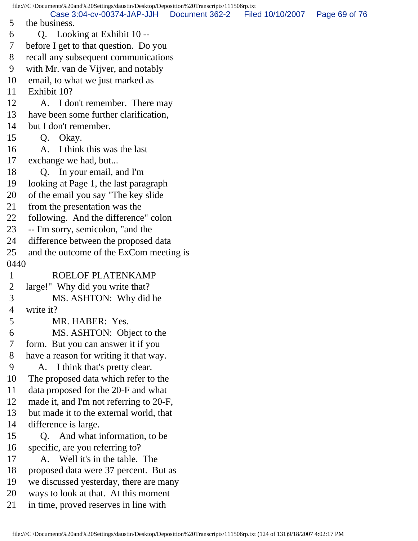file:///C|/Documents%20and%20Settings/daustin/Desktop/Deposition%20Transcripts/111506rp.txt 5 the business. 6 Q. Looking at Exhibit 10 -- 7 before I get to that question. Do you 8 recall any subsequent communications 9 with Mr. van de Vijver, and notably 10 email, to what we just marked as 11 Exhibit 10? 12 A. I don't remember. There may 13 have been some further clarification, 14 but I don't remember. 15 Q. Okay. 16 A. I think this was the last 17 exchange we had, but... 18 Q. In your email, and I'm 19 looking at Page 1, the last paragraph 20 of the email you say "The key slide 21 from the presentation was the 22 following. And the difference" colon 23 -- I'm sorry, semicolon, "and the 24 difference between the proposed data 25 and the outcome of the ExCom meeting is 0440 1 ROELOF PLATENKAMP 2 large!" Why did you write that? 3 MS. ASHTON: Why did he 4 write it? 5 MR. HABER: Yes. 6 MS. ASHTON: Object to the 7 form. But you can answer it if you 8 have a reason for writing it that way. 9 A. I think that's pretty clear. 10 The proposed data which refer to the 11 data proposed for the 20-F and what 12 made it, and I'm not referring to 20-F, 13 but made it to the external world, that 14 difference is large. 15 Q. And what information, to be 16 specific, are you referring to? 17 A. Well it's in the table. The 18 proposed data were 37 percent. But as 19 we discussed yesterday, there are many 20 ways to look at that. At this moment 21 in time, proved reserves in line with Case 3:04-cv-00374-JAP-JJH Document 362-2 Filed 10/10/2007 Page 69 of 76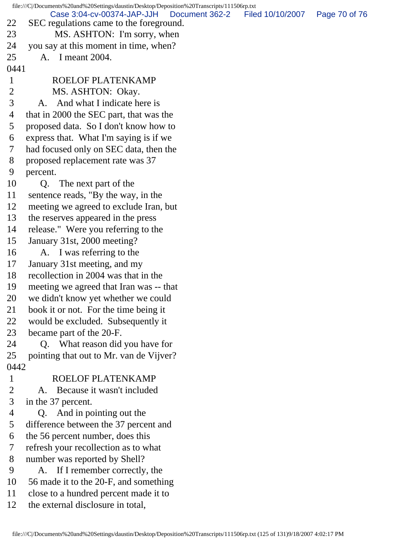file:///C|/Documents%20and%20Settings/daustin/Desktop/Deposition%20Transcripts/111506rp.txt 22 SEC regulations came to the foreground. 23 MS. ASHTON: I'm sorry, when 24 you say at this moment in time, when? 25 A. I meant 2004. 0441 1 ROELOF PLATENKAMP 2 MS. ASHTON: Okay. 3 A. And what I indicate here is 4 that in 2000 the SEC part, that was the 5 proposed data. So I don't know how to 6 express that. What I'm saying is if we 7 had focused only on SEC data, then the 8 proposed replacement rate was 37 9 percent. 10 Q. The next part of the 11 sentence reads, "By the way, in the 12 meeting we agreed to exclude Iran, but 13 the reserves appeared in the press 14 release." Were you referring to the 15 January 31st, 2000 meeting? 16 A. I was referring to the 17 January 31st meeting, and my 18 recollection in 2004 was that in the 19 meeting we agreed that Iran was -- that 20 we didn't know yet whether we could 21 book it or not. For the time being it 22 would be excluded. Subsequently it 23 became part of the 20-F. 24 Q. What reason did you have for 25 pointing that out to Mr. van de Vijver? 0442 1 ROELOF PLATENKAMP 2 A. Because it wasn't included 3 in the 37 percent. 4 Q. And in pointing out the 5 difference between the 37 percent and 6 the 56 percent number, does this 7 refresh your recollection as to what 8 number was reported by Shell? 9 A. If I remember correctly, the 10 56 made it to the 20-F, and something 11 close to a hundred percent made it to Case 3:04-cv-00374-JAP-JJH Document 362-2 Filed 10/10/2007 Page 70 of 76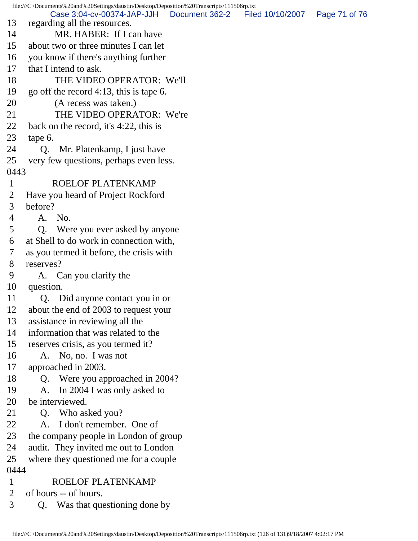file:///C|/Documents%20and%20Settings/daustin/Desktop/Deposition%20Transcripts/111506rp.txt 13 regarding all the resources. 14 MR. HABER: If I can have 15 about two or three minutes I can let 16 you know if there's anything further 17 that I intend to ask. 18 THE VIDEO OPERATOR: We'll 19 go off the record 4:13, this is tape 6. 20 (A recess was taken.) 21 THE VIDEO OPERATOR: We're 22 back on the record, it's 4:22, this is 23 tape 6. 24 Q. Mr. Platenkamp, I just have 25 very few questions, perhaps even less. 0443 1 ROELOF PLATENKAMP 2 Have you heard of Project Rockford 3 before? 4 A. No. 5 Q. Were you ever asked by anyone 6 at Shell to do work in connection with, 7 as you termed it before, the crisis with 8 reserves? 9 A. Can you clarify the 10 question. 11 Q. Did anyone contact you in or 12 about the end of 2003 to request your 13 assistance in reviewing all the 14 information that was related to the 15 reserves crisis, as you termed it? 16 A. No, no. I was not 17 approached in 2003. 18 Q. Were you approached in 2004? 19 A. In 2004 I was only asked to 20 be interviewed. 21 Q. Who asked you? 22 A. I don't remember. One of 23 the company people in London of group 24 audit. They invited me out to London 25 where they questioned me for a couple 0444 1 ROELOF PLATENKAMP 2 of hours -- of hours. 3 Q. Was that questioning done by Case 3:04-cv-00374-JAP-JJH Document 362-2 Filed 10/10/2007 Page 71 of 76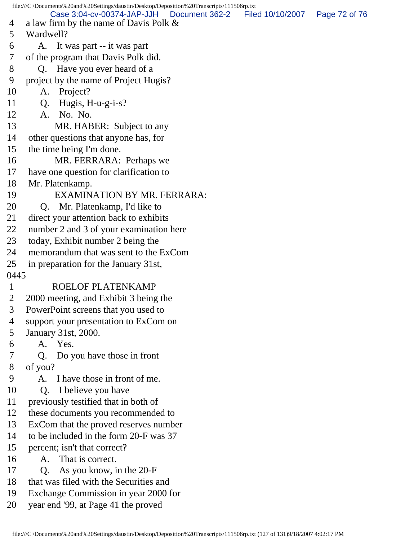file:///C|/Documents%20and%20Settings/daustin/Desktop/Deposition%20Transcripts/111506rp.txt 4 a law firm by the name of Davis Polk & 5 Wardwell? 6 A. It was part -- it was part 7 of the program that Davis Polk did. 8 Q. Have you ever heard of a 9 project by the name of Project Hugis? 10 A. Project? 11 Q. Hugis, H-u-g-i-s? 12 A. No. No. 13 MR. HABER: Subject to any 14 other questions that anyone has, for 15 the time being I'm done. 16 MR. FERRARA: Perhaps we 17 have one question for clarification to 18 Mr. Platenkamp. 19 EXAMINATION BY MR. FERRARA: 20 Q. Mr. Platenkamp, I'd like to 21 direct your attention back to exhibits 22 number 2 and 3 of your examination here 23 today, Exhibit number 2 being the 24 memorandum that was sent to the ExCom 25 in preparation for the January 31st, 0445 1 ROELOF PLATENKAMP 2 2000 meeting, and Exhibit 3 being the 3 PowerPoint screens that you used to 4 support your presentation to ExCom on 5 January 31st, 2000. 6 A. Yes. 7 Q. Do you have those in front 8 of you? 9 A. I have those in front of me. 10 Q. I believe you have 11 previously testified that in both of 12 these documents you recommended to 13 ExCom that the proved reserves number 14 to be included in the form 20-F was 37 15 percent; isn't that correct? 16 A. That is correct. 17 Q. As you know, in the 20-F 18 that was filed with the Securities and 19 Exchange Commission in year 2000 for 20 year end '99, at Page 41 the proved Case 3:04-cv-00374-JAP-JJH Document 362-2 Filed 10/10/2007 Page 72 of 76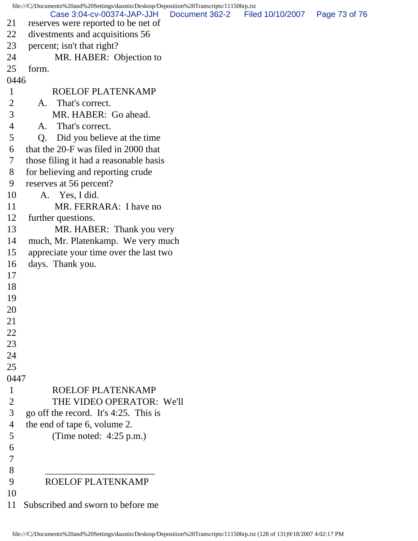file:///C|/Documents%20and%20Settings/daustin/Desktop/Deposition%20Transcripts/111506rp.txt 21 reserves were reported to be net of 22 divestments and acquisitions 56 23 percent; isn't that right? 24 MR. HABER: Objection to 25 form. 0446 1 ROELOF PLATENKAMP 2 A. That's correct. 3 MR. HABER: Go ahead. 4 A. That's correct. 5 Q. Did you believe at the time 6 that the 20-F was filed in 2000 that 7 those filing it had a reasonable basis 8 for believing and reporting crude 9 reserves at 56 percent? 10 A. Yes, I did. 11 MR. FERRARA: I have no 12 further questions. 13 MR. HABER: Thank you very 14 much, Mr. Platenkamp. We very much 15 appreciate your time over the last two 16 days. Thank you. 17 18 19 20 21 22 23 24 25 0447 1 ROELOF PLATENKAMP 2 THE VIDEO OPERATOR: We'll 3 go off the record. It's 4:25. This is 4 the end of tape 6, volume 2. 5 (Time noted: 4:25 p.m.) 6 7 8 \_\_\_\_\_\_\_\_\_\_\_\_\_\_\_\_\_\_\_\_\_\_\_ 9 ROELOF PLATENKAMP 10 11 Subscribed and sworn to before me Case 3:04-cv-00374-JAP-JJH Document 362-2 Filed 10/10/2007 Page 73 of 76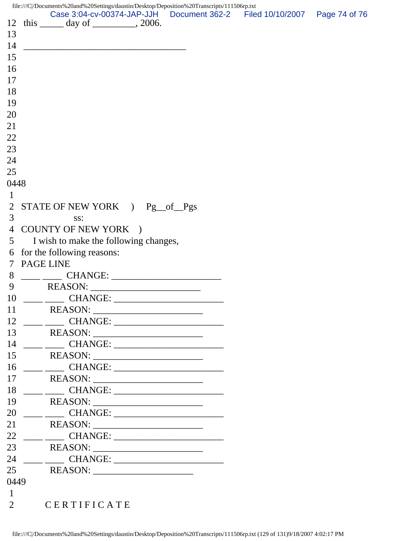file:///C|/Documents%20and%20Settings/daustin/Desktop/Deposition%20Transcripts/111506rp.txt 12 this \_\_\_\_\_\_ day of \_\_\_\_\_\_\_\_, 2006. 13  $14 \,$ 15 16 17 18 19 20 21 22 23 24 25 0448 1 2 STATE OF NEW YORK ) Pg\_\_of\_\_Pgs 3 ss: 4 COUNTY OF NEW YORK ) 5 I wish to make the following changes, 6 for the following reasons: 7 PAGE LINE 8 \_\_\_\_ \_\_\_\_ CHANGE: \_\_\_\_\_\_\_\_\_\_\_\_\_\_\_\_\_\_\_\_\_\_\_ 9 REASON: \_\_\_\_\_\_\_\_\_\_\_\_\_\_\_\_\_\_\_\_\_\_\_ 10 \_\_\_\_ \_\_\_\_ CHANGE: \_\_\_\_\_\_\_\_\_\_\_\_\_\_\_\_\_\_\_\_\_\_\_ 11 REASON: \_\_\_\_\_\_\_\_\_\_\_\_\_\_\_\_\_\_\_\_\_\_\_ 12 \_\_\_\_ \_\_\_\_ CHANGE: \_\_\_\_\_\_\_\_\_\_\_\_\_\_\_\_\_\_\_\_\_\_\_ 13 REASON: \_\_\_\_\_\_\_\_\_\_\_\_\_\_\_\_\_\_\_\_\_\_\_ 14 \_\_\_\_ \_\_\_\_ CHANGE: \_\_\_\_\_\_\_\_\_\_\_\_\_\_\_\_\_\_\_\_\_\_\_ 15 REASON: \_\_\_\_\_\_\_\_\_\_\_\_\_\_\_\_\_\_\_\_\_\_\_ 16 \_\_\_\_ \_\_\_\_ CHANGE: \_\_\_\_\_\_\_\_\_\_\_\_\_\_\_\_\_\_\_\_\_\_\_ 17 REASON: \_\_\_\_\_\_\_\_\_\_\_\_\_\_\_\_\_\_\_\_\_\_\_ 18 \_\_\_\_ \_\_\_\_ CHANGE: \_\_\_\_\_\_\_\_\_\_\_\_\_\_\_\_\_\_\_\_\_\_\_ 19 REASON: \_\_\_\_\_\_\_\_\_\_\_\_\_\_\_\_\_\_\_\_\_\_\_ 20 \_\_\_\_ \_\_\_\_ CHANGE: \_\_\_\_\_\_\_\_\_\_\_\_\_\_\_\_\_\_\_\_\_\_\_ 21 REASON: \_\_\_\_\_\_\_\_\_\_\_\_\_\_\_\_\_\_\_\_\_\_\_ 22 \_\_\_\_ \_\_\_\_ CHANGE: \_\_\_\_\_\_\_\_\_\_\_\_\_\_\_\_\_\_\_\_\_\_\_ 23 REASON: \_\_\_\_\_\_\_\_\_\_\_\_\_\_\_\_\_\_\_\_\_\_\_ 24 \_\_\_\_ \_\_\_\_ CHANGE: \_\_\_\_\_\_\_\_\_\_\_\_\_\_\_\_\_\_\_\_\_\_\_ 25 REASON: \_\_\_\_\_\_\_\_\_\_\_\_\_\_\_\_\_\_\_\_\_ 0449 1 2 CERTIFICATE Case 3:04-cv-00374-JAP-JJH Document 362-2 Filed 10/10/2007 Page 74 of 76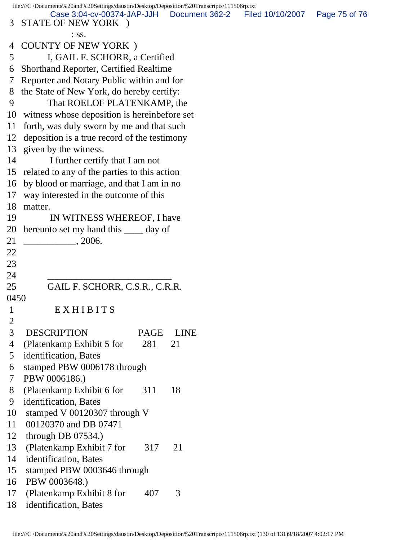file:///C|/Documents%20and%20Settings/daustin/Desktop/Deposition%20Transcripts/111506rp.txt 3 STATE OF NEW YORK ) : ss. 4 COUNTY OF NEW YORK ) 5 I, GAIL F. SCHORR, a Certified 6 Shorthand Reporter, Certified Realtime 7 Reporter and Notary Public within and for 8 the State of New York, do hereby certify: 9 That ROELOF PLATENKAMP, the 10 witness whose deposition is hereinbefore set 11 forth, was duly sworn by me and that such 12 deposition is a true record of the testimony 13 given by the witness. 14 I further certify that I am not 15 related to any of the parties to this action 16 by blood or marriage, and that I am in no 17 way interested in the outcome of this 18 matter. 19 IN WITNESS WHEREOF, I have 20 hereunto set my hand this \_\_\_\_ day of 21 \_\_\_\_\_\_\_\_\_\_\_, 2006. 22 23 24 \_\_\_\_\_\_\_\_\_\_\_\_\_\_\_\_\_\_\_\_\_\_\_\_\_\_ 25 GAIL F. SCHORR, C.S.R., C.R.R. 0450 1 E X H I B I T S 2 3 DESCRIPTION PAGE LINE 4 (Platenkamp Exhibit 5 for 281 21 5 identification, Bates 6 stamped PBW 0006178 through 7 PBW 0006186.) 8 (Platenkamp Exhibit 6 for 311 18 9 identification, Bates 10 stamped V 00120307 through V 11 00120370 and DB 07471 12 through DB 07534.) 13 (Platenkamp Exhibit 7 for 317 21 14 identification, Bates 15 stamped PBW 0003646 through 16 PBW 0003648.) 17 (Platenkamp Exhibit 8 for 407 3 18 identification, Bates Case 3:04-cv-00374-JAP-JJH Document 362-2 Filed 10/10/2007 Page 75 of 76